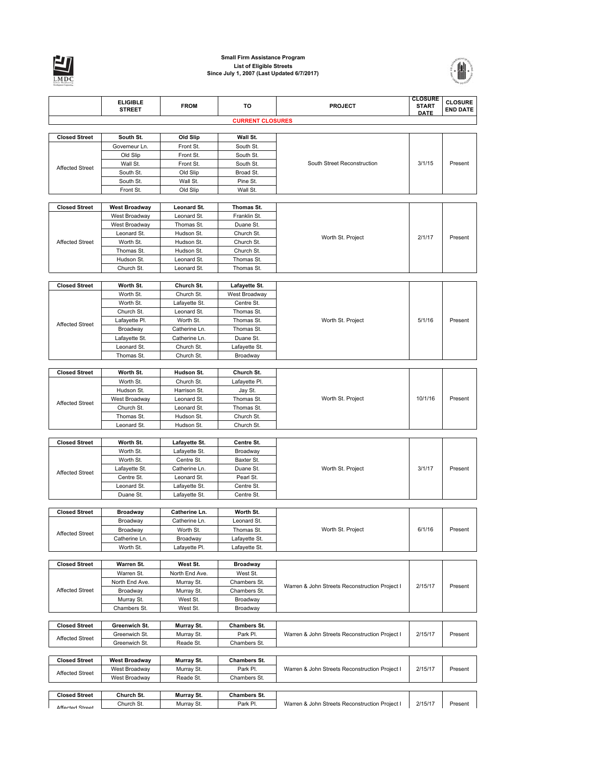

## **Small Firm Assistance Program List of Eligible Streets Since July 1, 2007 (Last Updated 6/7/2017)**



|                        | <b>ELIGIBLE</b>                | <b>FROM</b>                | TO                          | <b>PROJECT</b>                                 | <b>CLOSURE</b><br><b>START</b> | <b>CLOSURE</b>  |
|------------------------|--------------------------------|----------------------------|-----------------------------|------------------------------------------------|--------------------------------|-----------------|
|                        | <b>STREET</b>                  |                            |                             |                                                | <b>DATE</b>                    | <b>END DATE</b> |
|                        |                                |                            | <b>CURRENT CLOSURES</b>     |                                                |                                |                 |
| <b>Closed Street</b>   | South St.                      | Old Slip                   | Wall St.                    |                                                |                                |                 |
|                        | Governeur Ln.                  | Front St.                  | South St.                   |                                                |                                |                 |
|                        | Old Slip                       | Front St.                  | South St.                   |                                                |                                |                 |
| <b>Affected Street</b> | Wall St.                       | Front St.                  | South St.                   | South Street Reconstruction                    | 3/1/15                         | Present         |
|                        | South St.                      | Old Slip                   | Broad St.                   |                                                |                                |                 |
|                        | South St.                      | Wall St.                   | Pine St.                    |                                                |                                |                 |
|                        | Front St.                      | Old Slip                   | Wall St.                    |                                                |                                |                 |
| <b>Closed Street</b>   | <b>West Broadway</b>           | Leonard St.                | Thomas St.                  |                                                |                                |                 |
|                        | West Broadway                  | Leonard St.                | Franklin St.                |                                                |                                |                 |
|                        | West Broadway                  | Thomas St.                 | Duane St.                   |                                                |                                |                 |
|                        | Leonard St.                    | Hudson St.                 | Church St.                  | Worth St. Project                              | 2/1/17                         | Present         |
| <b>Affected Street</b> | Worth St.                      | Hudson St.                 | Church St.                  |                                                |                                |                 |
|                        | Thomas St.                     | Hudson St.                 | Church St.                  |                                                |                                |                 |
|                        | Hudson St.                     | Leonard St.                | Thomas St.                  |                                                |                                |                 |
|                        | Church St.                     | Leonard St.                | Thomas St.                  |                                                |                                |                 |
| <b>Closed Street</b>   | Worth St.                      | Church St.                 | Lafayette St.               |                                                |                                |                 |
|                        | Worth St.                      | Church St.                 | West Broadway               |                                                |                                |                 |
|                        | Worth St.                      | Lafayette St.              | Centre St.                  |                                                | 5/1/16                         |                 |
|                        | Church St.                     | Leonard St.                | Thomas St.                  |                                                |                                |                 |
| <b>Affected Street</b> | Lafayette Pl.                  | Worth St.                  | Thomas St.                  | Worth St. Project                              |                                | Present         |
|                        | Broadway                       | Catherine Ln.              | Thomas St.                  |                                                |                                |                 |
|                        | Lafayette St.                  | Catherine Ln.              | Duane St.                   |                                                |                                |                 |
|                        | Leonard St.<br>Thomas St.      | Church St.<br>Church St.   | Lafayette St.<br>Broadway   |                                                |                                |                 |
|                        |                                |                            |                             |                                                |                                |                 |
| <b>Closed Street</b>   | Worth St.                      | Hudson St.                 | Church St.                  |                                                |                                |                 |
|                        | Worth St.                      | Church St.                 | Lafayette Pl.               |                                                |                                |                 |
|                        | Hudson St.                     | Harrison St.               | Jay St.                     |                                                |                                |                 |
| <b>Affected Street</b> | West Broadway                  | Leonard St.                | Thomas St.                  | Worth St. Project                              | 10/1/16                        | Present         |
|                        | Church St.                     | Leonard St.                | Thomas St.                  |                                                |                                |                 |
|                        | Thomas St.<br>Leonard St.      | Hudson St.<br>Hudson St.   | Church St.<br>Church St.    |                                                |                                |                 |
|                        |                                |                            |                             |                                                |                                |                 |
| <b>Closed Street</b>   | Worth St.                      | Lafayette St.              | Centre St.                  |                                                |                                |                 |
|                        | Worth St.                      | Lafayette St.              | Broadway                    |                                                |                                |                 |
|                        | Worth St.                      | Centre St.                 | Baxter St.                  |                                                | 3/1/17                         |                 |
| <b>Affected Street</b> | Lafayette St.                  | Catherine Ln.              | Duane St.                   | Worth St. Project                              |                                | Present         |
|                        | Centre St.                     | Leonard St.                | Pearl St.                   |                                                |                                |                 |
|                        | Leonard St.                    | Lafayette St.              | Centre St.                  |                                                |                                |                 |
|                        | Duane St.                      | Lafayette St.              | Centre St.                  |                                                |                                |                 |
| <b>Closed Street</b>   | <b>Broadway</b>                | Catherine Ln.              | Worth St.                   |                                                |                                |                 |
|                        | Broadway                       | Catherine Ln.              | Leonard St.                 |                                                |                                |                 |
| <b>Affected Street</b> | Broadway                       | Worth St.                  | Thomas St.                  | Worth St. Project                              | 6/1/16                         | Present         |
|                        | Catherine Ln.                  | Broadway                   | Lafayette St.               |                                                |                                |                 |
|                        | Worth St.                      | Lafayette Pl.              | Lafayette St.               |                                                |                                |                 |
| <b>Closed Street</b>   | Warren St.                     |                            |                             |                                                |                                |                 |
|                        | Warren St.                     | West St.<br>North End Ave. | <b>Broadway</b><br>West St. |                                                |                                |                 |
|                        | North End Ave.                 | Murray St.                 | Chambers St.                |                                                |                                |                 |
| <b>Affected Street</b> | Broadway                       | Murray St.                 | Chambers St.                | Warren & John Streets Reconstruction Project I | 2/15/17                        | Present         |
|                        | Murray St.                     | West St.                   | Broadway                    |                                                |                                |                 |
|                        | Chambers St.                   | West St.                   | Broadway                    |                                                |                                |                 |
|                        |                                |                            |                             |                                                |                                |                 |
| <b>Closed Street</b>   | Greenwich St.                  | Murray St.                 | <b>Chambers St.</b>         |                                                | 2/15/17                        | Present         |
| <b>Affected Street</b> | Greenwich St.<br>Greenwich St. | Murray St.<br>Reade St.    | Park Pl.<br>Chambers St.    | Warren & John Streets Reconstruction Project I |                                |                 |
|                        |                                |                            |                             |                                                |                                |                 |
| <b>Closed Street</b>   | <b>West Broadway</b>           | Murray St.                 | <b>Chambers St.</b>         |                                                |                                |                 |
|                        | West Broadway                  | Murray St.                 | Park Pl.                    | Warren & John Streets Reconstruction Project I | 2/15/17                        | Present         |
| <b>Affected Street</b> | West Broadway                  | Reade St.                  | Chambers St.                |                                                |                                |                 |
|                        |                                |                            |                             |                                                |                                |                 |
| <b>Closed Street</b>   | Church St.                     | Murray St.                 | <b>Chambers St.</b>         |                                                |                                |                 |
| Afforton Ctroot        | Church St.                     | Murray St.                 | Park Pl.                    | Warren & John Streets Reconstruction Project I | 2/15/17                        | Present         |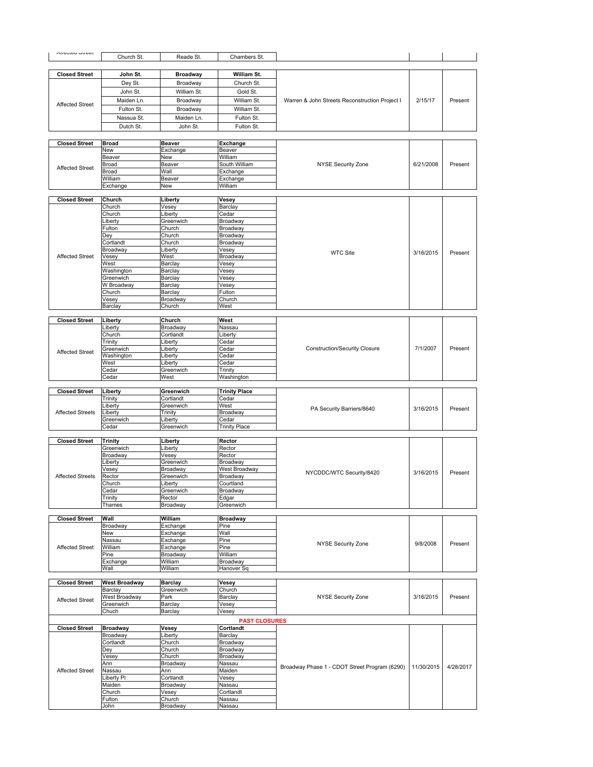| <b>Allevied Offeer</b>  | Church St.                  | Reade St.              | Chambers St.                      |                                                |            |           |
|-------------------------|-----------------------------|------------------------|-----------------------------------|------------------------------------------------|------------|-----------|
|                         |                             |                        |                                   |                                                |            |           |
| <b>Closed Street</b>    | John St.                    | <b>Broadway</b>        | William St.                       |                                                |            |           |
|                         | Dey St.                     | Broadway               | Church St.                        |                                                |            |           |
|                         | John St.                    | William St.            | Gold St.                          |                                                |            |           |
|                         | Maiden Ln.                  | Broadway               | William St.                       | Warren & John Streets Reconstruction Project I | 2/15/17    | Present   |
| <b>Affected Street</b>  | Fulton St.                  | Broadway               | William St.                       |                                                |            |           |
|                         | Nassua St.                  | Maiden Ln.             | Fulton St.                        |                                                |            |           |
|                         | Dutch St.                   | John St.               | Fulton St.                        |                                                |            |           |
|                         |                             |                        |                                   |                                                |            |           |
| <b>Closed Street</b>    | <b>Broad</b>                | <b>Beaver</b>          | <b>Exchange</b>                   |                                                |            |           |
|                         | <b>New</b>                  | Exchange               | Beaver                            |                                                |            |           |
|                         | Beaver                      | New                    | William                           |                                                |            |           |
| <b>Affected Street</b>  | Broad                       | Beaver                 | South William                     | <b>NYSE Security Zone</b>                      | 6/21/2008  | Present   |
|                         | Broad                       | Wall                   | Exchange                          |                                                |            |           |
|                         | William<br>Exchange         | Beaver<br>New          | Exchange<br>William               |                                                |            |           |
|                         |                             |                        |                                   |                                                |            |           |
| <b>Closed Street</b>    | Church                      | Liberty                | Vesey                             |                                                |            |           |
|                         | Church                      | Vesey                  | Barclay                           |                                                |            |           |
|                         | Church                      | Liberty                | Cedar                             |                                                |            |           |
|                         | _iberty                     | Greenwich              | Broadway                          |                                                |            |           |
|                         | Fulton<br>Dey               | Church<br>Church       | Broadway<br>Broadway              |                                                |            |           |
|                         | Cortlandt                   | Church                 | Broadway                          |                                                |            |           |
|                         | Broadway                    | Liberty                | Vesey                             | <b>WTC Site</b>                                | 3/16/2015  | Present   |
| <b>Affected Street</b>  | Vesey                       | West                   | Broadway                          |                                                |            |           |
|                         | West                        | Barclay                | Vesey                             |                                                |            |           |
|                         | Washington<br>Greenwich     | Barclay                | Vesey                             |                                                |            |           |
|                         | W Broadway                  | Barclay<br>Barclay     | Vesey<br>Vesey                    |                                                |            |           |
|                         | Church                      | Barclay                | Fulton                            |                                                |            |           |
|                         | Vesey                       | Broadway               | Church                            |                                                |            |           |
|                         | Barclay                     | Church                 | West                              |                                                |            |           |
|                         |                             |                        |                                   |                                                |            |           |
| <b>Closed Street</b>    | Liberty                     | Church                 | West                              |                                                |            |           |
|                         | Liberty<br>Church           | Broadway<br>Cortlandt  | Nassau<br>Liberty                 |                                                |            |           |
|                         | Trinity                     | Liberty                | Cedar                             |                                                |            |           |
|                         | Greenwich                   | Liberty                | Cedar                             | <b>Construction/Security Closure</b>           | 7/1/2007   | Present   |
| <b>Affected Street</b>  | Washington                  | Liberty                | Cedar                             |                                                |            |           |
|                         | West                        | _iberty                | Cedar                             |                                                |            |           |
|                         | Cedar                       | Greenwich              | Trinity                           |                                                |            |           |
|                         | Cedar                       | West                   | Washington                        |                                                |            |           |
|                         |                             |                        |                                   |                                                |            |           |
|                         |                             |                        |                                   |                                                |            |           |
| <b>Closed Street</b>    | Liberty                     | Greenwich<br>Cortlandt | <b>Trinity Place</b>              |                                                |            |           |
|                         | Trinity<br>_iberty          | Greenwich              | Cedar<br>West                     |                                                |            |           |
| <b>Affected Streets</b> | ∟iberty                     | Trinity                | Broadway                          | PA Security Barriers/8640                      | 3/16/2015  | Present   |
|                         | Greenwich                   | Liberty                | Cedar                             |                                                |            |           |
|                         | Cedar                       | Greenwich              | <b>Trinity Place</b>              |                                                |            |           |
|                         |                             |                        |                                   |                                                |            |           |
| <b>Closed Street</b>    | <b>Trinity</b><br>Greenwich | Liberty                | Rector                            |                                                |            |           |
|                         | Broadway                    | Liberty<br>Vesey       | Rector<br>Rector                  |                                                |            |           |
|                         | _iberty                     | Greenwich              | Broadway                          |                                                |            |           |
|                         | Vesey                       | Broadway               | West Broadway                     |                                                |            |           |
| <b>Affected Streets</b> | Rector                      | Greenwich              | Broadway                          | NYCDDC/WTC Security/8420                       | 3/16/2015  | Present   |
|                         | Church                      | Liberty                | Courtland                         |                                                |            |           |
|                         | Cedar                       | Greenwich              | Broadway                          |                                                |            |           |
|                         | Trinity<br>Thames           | Rector<br>Broadway     | Edgar<br>Greenwich                |                                                |            |           |
|                         |                             |                        |                                   |                                                |            |           |
| <b>Closed Street</b>    | Wall                        | William                | <b>Broadway</b>                   |                                                |            |           |
|                         | Broadway                    | Exchange               | Pine                              |                                                |            |           |
|                         | New                         | Exchange               | Wall                              |                                                |            |           |
|                         | Nassau                      | Exchange               | Pine                              | <b>NYSE Security Zone</b>                      | 9/8/2008   | Present   |
| <b>Affected Street</b>  | William                     | Exchange               | Pine                              |                                                |            |           |
|                         | Pine                        | Broadway<br>William    | William<br>Broadway               |                                                |            |           |
|                         | Exchange<br>Wall            | William                | Hanover Sq                        |                                                |            |           |
|                         |                             |                        |                                   |                                                |            |           |
| <b>Closed Street</b>    | <b>West Broadway</b>        | <b>Barclay</b>         | Vesey                             |                                                |            |           |
|                         | Barclay                     | Greenwich              | Church                            |                                                |            |           |
| <b>Affected Street</b>  | West Broadway               | Park                   | Barclay                           | <b>NYSE Security Zone</b>                      | 3/16/2015  | Present   |
|                         | Greenwich<br>Chuch          | Barclay<br>Barclay     | Vesey<br>Vesey                    |                                                |            |           |
|                         |                             |                        |                                   |                                                |            |           |
| <b>Closed Street</b>    | <b>Broadway</b>             |                        | <b>PAST CLOSURES</b><br>Cortlandt |                                                |            |           |
|                         | Broadway                    | Vesey<br>Liberty       | Barclay                           |                                                |            |           |
|                         | Cortlandt                   | Church                 | Broadway                          |                                                |            |           |
|                         | Dey                         | Church                 | Broadway                          |                                                |            |           |
|                         | Vesey                       | Church                 | Broadway                          |                                                |            |           |
|                         | Ann                         | Broadway               | Nassau                            | Broadway Phase 1 - CDOT Street Program (6290)  | 11/30/2015 | 4/28/2017 |
| <b>Affected Street</b>  | Nassau                      | Ann                    | Maiden                            |                                                |            |           |
|                         | Liberty Pl                  | Cortlandt              | Vesey                             |                                                |            |           |
|                         | Maiden                      | Broadway               | Nassau                            |                                                |            |           |
|                         | Church<br>Fulton            | Vesey<br>Church        | Cortlandt<br>Nassau               |                                                |            |           |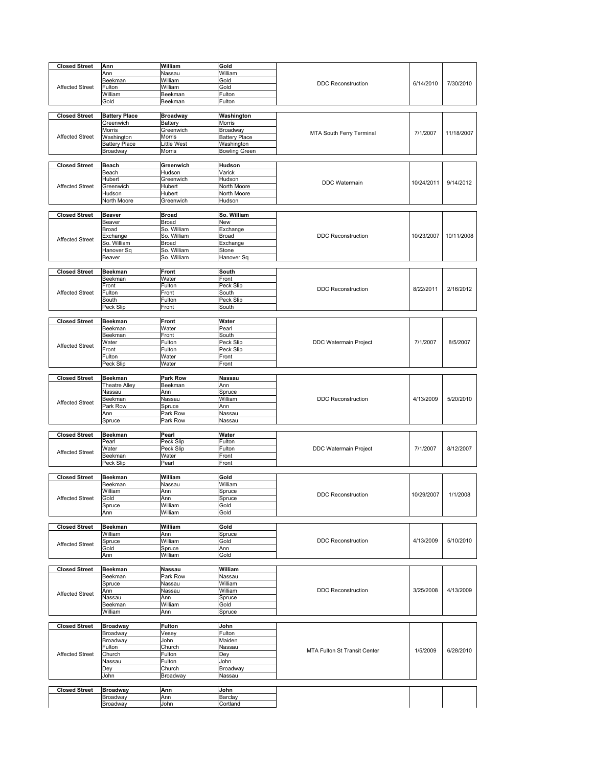| <b>Closed Street</b>   | Ann                  | William         | Gold                 |                              |            |            |
|------------------------|----------------------|-----------------|----------------------|------------------------------|------------|------------|
|                        |                      | Nassau          | William              |                              |            |            |
|                        | Ann                  |                 |                      |                              |            |            |
|                        | Beekman              | William         | Gold                 | <b>DDC Reconstruction</b>    | 6/14/2010  | 7/30/2010  |
| <b>Affected Street</b> | Fulton               | William         | Gold                 |                              |            |            |
|                        | William              | Beekman         | Fulton               |                              |            |            |
|                        | Gold                 | Beekman         | Fulton               |                              |            |            |
|                        |                      |                 |                      |                              |            |            |
| <b>Closed Street</b>   | <b>Battery Place</b> | <b>Broadway</b> | Washington           |                              |            |            |
|                        |                      |                 |                      |                              |            |            |
|                        | Greenwich            | Battery         | Morris               |                              |            |            |
|                        | Morris               | Greenwich       | Broadway             | MTA South Ferry Terminal     | 7/1/2007   | 11/18/2007 |
| <b>Affected Street</b> | Washington           | Morris          | <b>Battery Place</b> |                              |            |            |
|                        | <b>Battery Place</b> | Little West     | Washington           |                              |            |            |
|                        | Broadway             | Morris          | <b>Bowling Green</b> |                              |            |            |
|                        |                      |                 |                      |                              |            |            |
| <b>Closed Street</b>   | <b>Beach</b>         | Greenwich       | Hudson               |                              |            |            |
|                        | Beach                | Hudson          | Varick               |                              |            |            |
|                        | Hubert               | Greenwich       | Hudson               |                              |            |            |
|                        |                      |                 |                      | <b>DDC</b> Watermain         | 10/24/2011 | 9/14/2012  |
| <b>Affected Street</b> | Greenwich            | Hubert          | North Moore          |                              |            |            |
|                        | Hudson               | Hubert          | North Moore          |                              |            |            |
|                        | North Moore          | Greenwich       | Hudson               |                              |            |            |
|                        |                      |                 |                      |                              |            |            |
| <b>Closed Street</b>   | Beaver               | <b>Broad</b>    | So. William          |                              |            |            |
|                        | Beaver               | <b>Broad</b>    | New                  |                              |            |            |
|                        | Broad                | So. William     | Exchange             |                              |            |            |
|                        | Exchange             | So. William     | Broad                | <b>DDC Reconstruction</b>    | 10/23/2007 | 10/11/2008 |
| <b>Affected Street</b> | So. William          | Broad           | Exchange             |                              |            |            |
|                        | Hanover Sq           | So. William     | Stone                |                              |            |            |
|                        | Beaver               | So. William     | Hanover Sq           |                              |            |            |
|                        |                      |                 |                      |                              |            |            |
| <b>Closed Street</b>   | <b>Beekman</b>       | <b>Front</b>    | South                |                              |            |            |
|                        | Beekman              | Water           | Front                |                              |            |            |
|                        |                      |                 |                      |                              |            |            |
| <b>Affected Street</b> | Front                | Fulton          | Peck Slip            | <b>DDC Reconstruction</b>    | 8/22/2011  | 2/16/2012  |
|                        | Fulton               | Front           | South                |                              |            |            |
|                        | South                | Fulton          | Peck Slip            |                              |            |            |
|                        | Peck Slip            | Front           | South                |                              |            |            |
|                        |                      |                 |                      |                              |            |            |
| <b>Closed Street</b>   | <b>Beekman</b>       | Front           | Water                |                              |            |            |
|                        | Beekman              | Water           | Pearl                |                              |            |            |
|                        | Beekman              | Front           | South                |                              |            |            |
|                        | Water                | Fulton          | Peck Slip            | DDC Watermain Project        | 7/1/2007   | 8/5/2007   |
| <b>Affected Street</b> | Front                | Fulton          | Peck Slip            |                              |            |            |
|                        | Fulton               | Water           | Front                |                              |            |            |
|                        | Peck Slip            | Water           | Front                |                              |            |            |
|                        |                      |                 |                      |                              |            |            |
|                        |                      |                 |                      |                              |            |            |
| <b>Closed Street</b>   | <b>Beekman</b>       | <b>Park Row</b> | Nassau               |                              |            |            |
|                        | Theatre Alley        | Beekman         | Ann                  |                              |            |            |
|                        | Nassau               | Ann             | Spruce               |                              |            |            |
| <b>Affected Street</b> | Beekman              | Nassau          | William              | <b>DDC Reconstruction</b>    | 4/13/2009  | 5/20/2010  |
|                        | Park Row             | Spruce          | Ann                  |                              |            |            |
|                        | Ann                  | Park Row        | Nassau               |                              |            |            |
|                        | Spruce               | Park Row        | Nassau               |                              |            |            |
|                        |                      |                 |                      |                              |            |            |
| <b>Closed Street</b>   | <b>Beekman</b>       | Pearl           | Water                |                              |            |            |
|                        | Pearl                | Peck Slip       | Fulton               |                              |            |            |
|                        | Water                | Peck Slip       | Fulton               | DDC Watermain Project        | 7/1/2007   | 8/12/2007  |
| <b>Affected Street</b> | Beekman              | Water           | Front                |                              |            |            |
|                        | Peck Slip            | Pearl           | Front                |                              |            |            |
|                        |                      |                 |                      |                              |            |            |
| <b>Closed Street</b>   | Beekman              | William         | Gold                 |                              |            |            |
|                        | Beekman              | Nassau          | William              |                              |            |            |
|                        | William              | Ann             | Spruce               |                              |            |            |
|                        |                      |                 |                      | DDC Reconstruction           | 10/29/2007 | 1/1/2008   |
| <b>Affected Street</b> | Gold                 | Ann             | Spruce               |                              |            |            |
|                        | Spruce               | William         | Gold                 |                              |            |            |
|                        | Ann                  | William         | Gold                 |                              |            |            |
|                        |                      |                 |                      |                              |            |            |
| <b>Closed Street</b>   | <b>Beekman</b>       | William         | Gold                 |                              |            |            |
|                        | William              | Ann             | Spruce               |                              |            |            |
| <b>Affected Street</b> | Spruce               | William         | Gold                 | <b>DDC Reconstruction</b>    | 4/13/2009  | 5/10/2010  |
|                        | Gold                 | Spruce          | Ann                  |                              |            |            |
|                        | Ann                  | William         | Gold                 |                              |            |            |
|                        |                      |                 |                      |                              |            |            |
| <b>Closed Street</b>   | <b>Beekman</b>       | <b>Nassau</b>   | William              |                              |            |            |
|                        | Beekman              | Park Row        | Nassau               |                              |            |            |
|                        | Spruce               | Nassau          | William              |                              |            |            |
|                        | Ann                  | Nassau          | William              | <b>DDC Reconstruction</b>    | 3/25/2008  | 4/13/2009  |
| <b>Affected Street</b> | Nassau               | Ann             | Spruce               |                              |            |            |
|                        | Beekman              | William         | Gold                 |                              |            |            |
|                        | William              | Ann             | Spruce               |                              |            |            |
|                        |                      |                 |                      |                              |            |            |
| <b>Closed Street</b>   |                      |                 | John                 |                              |            |            |
|                        | <b>Broadway</b>      | Fulton          |                      |                              |            |            |
|                        | Broadway             | Vesey           | Fulton               |                              |            |            |
|                        | Broadway             | John            | Maiden               |                              |            |            |
|                        | Fulton               | Church          | Nassau               | MTA Fulton St Transit Center | 1/5/2009   | 6/28/2010  |
| <b>Affected Street</b> | Church               | Fulton          | Dey                  |                              |            |            |
|                        | Nassau               | Fulton          | John                 |                              |            |            |
|                        | Dey                  | Church          | Broadway             |                              |            |            |
|                        | John                 | Broadway        | Nassau               |                              |            |            |
|                        |                      |                 |                      |                              |            |            |
| <b>Closed Street</b>   | <b>Broadway</b>      | Ann             | John                 |                              |            |            |
|                        | Broadway             | Ann             | Barclay              |                              |            |            |
|                        | Broadway             | John            | Cortland             |                              |            |            |
|                        |                      |                 |                      |                              |            |            |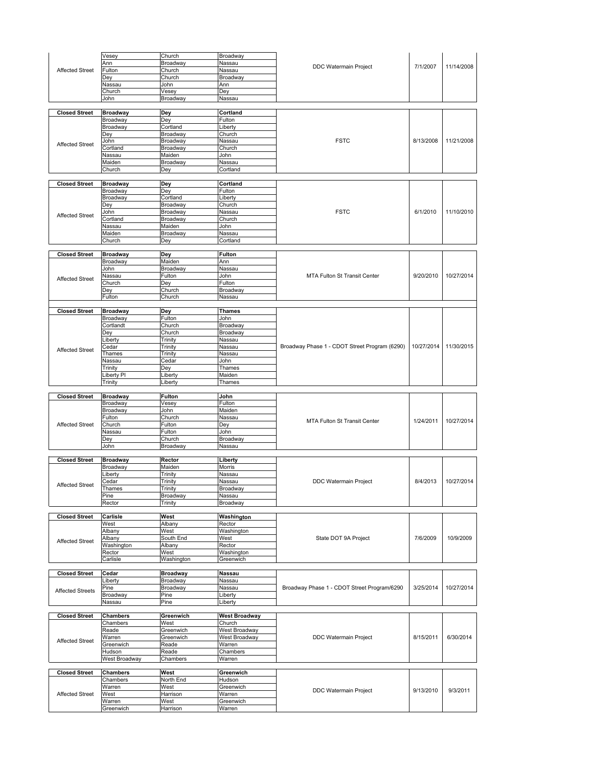|                         | Vesey               | Church           | Broadway             |                                               |            |            |
|-------------------------|---------------------|------------------|----------------------|-----------------------------------------------|------------|------------|
|                         | Ann                 | Broadway         | Nassau               |                                               |            |            |
| <b>Affected Street</b>  | Fulton              | Church           | Nassau               | <b>DDC Watermain Project</b>                  | 7/1/2007   | 11/14/2008 |
|                         | Dey                 | Church           | Broadway             |                                               |            |            |
|                         | Nassau              | John             | Ann                  |                                               |            |            |
|                         | Church              | Vesey            | Dey                  |                                               |            |            |
|                         | John                | Broadway         | Nassau               |                                               |            |            |
|                         |                     |                  |                      |                                               |            |            |
| <b>Closed Street</b>    | <b>Broadway</b>     | Dey              | Cortland             |                                               |            |            |
|                         | Broadway            | Dey              | Fulton               |                                               |            |            |
|                         | Broadway            | Cortland         | Liberty              |                                               |            |            |
|                         | Dey                 | Broadway         | Church               |                                               |            |            |
| <b>Affected Street</b>  | John                | Broadway         | Nassau               | <b>FSTC</b>                                   | 8/13/2008  | 11/21/2008 |
|                         | Cortland            | Broadway         | Church               |                                               |            |            |
|                         | Nassau              | Maiden           | John                 |                                               |            |            |
|                         | Maiden              | Broadway         | Nassau               |                                               |            |            |
|                         | Church              | Dey              | Cortland             |                                               |            |            |
|                         |                     |                  |                      |                                               |            |            |
| <b>Closed Street</b>    | <b>Broadway</b>     | Dey              | Cortland             |                                               |            |            |
|                         | Broadway            | Dey              | Fulton               |                                               |            |            |
|                         | Broadway            | Cortland         | Liberty              |                                               |            |            |
|                         | Dey                 | Broadway         | Church               |                                               |            |            |
| <b>Affected Street</b>  | John                | Broadway         | Nassau               | <b>FSTC</b>                                   | 6/1/2010   | 11/10/2010 |
|                         | Cortland            | Broadway         | Church               |                                               |            |            |
|                         | Nassau              | Maiden           | John                 |                                               |            |            |
|                         | Maiden              | Broadway         | Nassau               |                                               |            |            |
|                         | Church              | Dey              | Cortland             |                                               |            |            |
|                         |                     |                  |                      |                                               |            |            |
| <b>Closed Street</b>    | <b>Broadway</b>     | <b>Dey</b>       | <b>Fulton</b>        |                                               |            |            |
|                         | Broadway            | Maiden           | Ann                  |                                               |            |            |
|                         | John                | Broadway         | Nassau               |                                               |            |            |
| <b>Affected Street</b>  | Nassau              | Fulton           | John                 | MTA Fulton St Transit Center                  | 9/20/2010  | 10/27/2014 |
|                         | Church              | Dey              | Fulton               |                                               |            |            |
|                         | Dey                 | Church           | Broadway             |                                               |            |            |
|                         | Fulton              | Church           | Nassau               |                                               |            |            |
|                         |                     |                  |                      |                                               |            |            |
| <b>Closed Street</b>    | <b>Broadway</b>     | Dey              | <b>Thames</b>        |                                               |            |            |
|                         | Broadway            | Fulton           | John                 |                                               |            |            |
|                         | Cortlandt           | Church           | Broadway             |                                               |            |            |
|                         | Dey                 | Church           | Broadway             |                                               |            |            |
|                         | Liberty             | Trinity          | Nassau               |                                               |            |            |
| <b>Affected Street</b>  | Cedar               | Trinity          | Nassau               | Broadway Phase 1 - CDOT Street Program (6290) | 10/27/2014 | 11/30/2015 |
|                         | Thames              | Trinity          | Nassau               |                                               |            |            |
|                         | Nassau              | Cedar            | John                 |                                               |            |            |
|                         | Trinity             | Dey              | Thames               |                                               |            |            |
|                         | Liberty Pl          | Liberty          | Maiden               |                                               |            |            |
|                         | Trinity             | Liberty          | Thames               |                                               |            |            |
|                         |                     |                  |                      |                                               |            |            |
|                         |                     |                  |                      |                                               |            |            |
|                         |                     |                  |                      |                                               |            |            |
| <b>Closed Street</b>    | <b>Broadway</b>     | Fulton           | John                 |                                               |            |            |
|                         | Broadway            | Vesey            | Fulton               |                                               |            |            |
|                         | Broadway            | John             | Maiden               |                                               |            |            |
|                         | Fulton              | Church           | Nassau               | <b>MTA Fulton St Transit Center</b>           | 1/24/2011  | 10/27/2014 |
| <b>Affected Street</b>  | Church              | Fulton           | Dey                  |                                               |            |            |
|                         | Nassau              | Fulton           | John                 |                                               |            |            |
|                         | Dey                 | Church           | Broadway             |                                               |            |            |
|                         | John                | Broadway         | Nassau               |                                               |            |            |
|                         |                     |                  |                      |                                               |            |            |
| <b>Closed Street</b>    | <b>Broadway</b>     | Rector           | Liberty              |                                               |            |            |
|                         | Broadway            | Maiden           | Morris               |                                               |            |            |
|                         | _iberty             | Trinity          | Nassau               |                                               |            |            |
| <b>Affected Street</b>  | Cedar               | Trinity          | Nassau               | DDC Watermain Project                         | 8/4/2013   | 10/27/2014 |
|                         | Thames              | Trinity          | Broadway             |                                               |            |            |
|                         | Pine<br>Rector      | Broadway         | Nassau               |                                               |            |            |
|                         |                     | Trinity          | Broadway             |                                               |            |            |
| <b>Closed Street</b>    | Carlisle            | West             | Washington           |                                               |            |            |
|                         | West                | Albany           | Rector               |                                               |            |            |
|                         |                     | West             |                      |                                               |            |            |
|                         | Albany              |                  | Washington           |                                               |            |            |
| <b>Affected Street</b>  | Albany              | South End        | West                 | State DOT 9A Project                          | 7/6/2009   | 10/9/2009  |
|                         | Washington          | Albany           | Rector               |                                               |            |            |
|                         | Rector              | West             | Washington           |                                               |            |            |
|                         | Carlisle            | Washington       | Greenwich            |                                               |            |            |
|                         |                     |                  |                      |                                               |            |            |
| <b>Closed Street</b>    | Cedar               | <b>Broadway</b>  | <b>Nassau</b>        |                                               |            |            |
|                         | Liberty             | Broadway         | Nassau               |                                               |            |            |
| <b>Affected Streets</b> | Pine                | Broadway         | Nassau               | Broadway Phase 1 - CDOT Street Program/6290   | 3/25/2014  | 10/27/2014 |
|                         | Broadway            | Pine             | Liberty              |                                               |            |            |
|                         | Nassau              | Pine             | Liberty              |                                               |            |            |
|                         |                     |                  |                      |                                               |            |            |
| <b>Closed Street</b>    | <b>Chambers</b>     | Greenwich        | <b>West Broadway</b> |                                               |            |            |
|                         | Chambers            | West             | Church               |                                               |            |            |
|                         | Reade               | Greenwich        | West Broadway        |                                               |            |            |
|                         | Warren              | Greenwich        | West Broadway        | <b>DDC Watermain Project</b>                  | 8/15/2011  | 6/30/2014  |
| Affected Street         | Greenwich           | Reade            | Warren               |                                               |            |            |
|                         | Hudson              | Reade            | Chambers             |                                               |            |            |
|                         | West Broadway       | Chambers         | Warren               |                                               |            |            |
|                         |                     |                  |                      |                                               |            |            |
| <b>Closed Street</b>    | <b>Chambers</b>     | West             | Greenwich            |                                               |            |            |
|                         | Chambers            | North End        | Hudson               |                                               |            |            |
|                         | Warren              | West             | Greenwich            |                                               |            |            |
| <b>Affected Street</b>  | West                | Harrison         | Warren               | DDC Watermain Project                         | 9/13/2010  | 9/3/2011   |
|                         |                     |                  |                      |                                               |            |            |
|                         | Warren<br>Greenwich | West<br>Harrison | Greenwich<br>Warren  |                                               |            |            |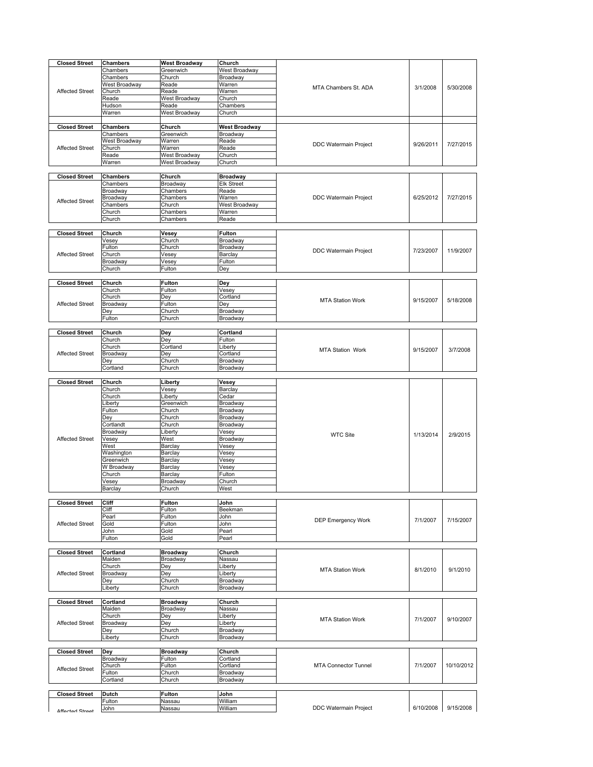| <b>Closed Street</b>   | Chambers       | <b>West Broadway</b> | Church          |                             |           |            |
|------------------------|----------------|----------------------|-----------------|-----------------------------|-----------|------------|
|                        |                |                      |                 |                             |           |            |
|                        | Chambers       | Greenwich            | West Broadway   |                             |           |            |
|                        | Chambers       | Church               | Broadway        |                             |           |            |
|                        | West Broadway  | Reade                | Warren          |                             |           |            |
| <b>Affected Street</b> | Church         | Reade                | Warren          | MTA Chambers St. ADA        | 3/1/2008  | 5/30/2008  |
|                        | Reade          | West Broadway        | Church          |                             |           |            |
|                        |                |                      |                 |                             |           |            |
|                        | Hudson         | Reade                | Chambers        |                             |           |            |
|                        | Warren         | West Broadway        | Church          |                             |           |            |
|                        |                |                      |                 |                             |           |            |
| <b>Closed Street</b>   | Chambers       | Church               | West Broadway   |                             |           |            |
|                        | Chambers       | Greenwich            | Broadway        |                             |           |            |
|                        |                |                      |                 |                             |           |            |
|                        | West Broadway  | Warren               | Reade           | DDC Watermain Project       | 9/26/2011 | 7/27/2015  |
| <b>Affected Street</b> | Church         | Warren               | Reade           |                             |           |            |
|                        | Reade          | West Broadway        | Church          |                             |           |            |
|                        | Warren         | West Broadway        | Church          |                             |           |            |
|                        |                |                      |                 |                             |           |            |
|                        |                |                      |                 |                             |           |            |
| <b>Closed Street</b>   | Chambers       | Church               | <b>Broadway</b> |                             |           |            |
|                        | Chambers       | Broadway             | Elk Street      |                             |           |            |
|                        | Broadway       | Chambers             | Reade           |                             |           |            |
|                        | Broadway       | Chambers             | Warren          | DDC Watermain Project       | 6/25/2012 | 7/27/2015  |
| <b>Affected Street</b> | Chambers       | Church               | West Broadway   |                             |           |            |
|                        |                |                      |                 |                             |           |            |
|                        | Church         | Chambers             | Warren          |                             |           |            |
|                        | Church         | Chambers             | Reade           |                             |           |            |
|                        |                |                      |                 |                             |           |            |
| <b>Closed Street</b>   | Church         | Vesey                | Fulton          |                             |           |            |
|                        |                |                      |                 |                             |           |            |
|                        | Vesey          | Church               | Broadway        |                             |           |            |
|                        | Fulton         | Church               | Broadway        | DDC Watermain Project       | 7/23/2007 | 11/9/2007  |
| <b>Affected Street</b> | Church         | Vesey                | Barclay         |                             |           |            |
|                        | Broadway       | Vesey                | Fulton          |                             |           |            |
|                        | Church         | Fulton               | Dey             |                             |           |            |
|                        |                |                      |                 |                             |           |            |
|                        |                |                      |                 |                             |           |            |
| <b>Closed Street</b>   | Church         | <b>Fulton</b>        | Dey             |                             |           |            |
|                        | Church         | Fulton               | Vesey           |                             |           |            |
|                        | Church         | Dey                  | Cortland        | <b>MTA Station Work</b>     | 9/15/2007 |            |
| <b>Affected Street</b> |                |                      |                 |                             |           | 5/18/2008  |
|                        | Broadway       | Fulton               | Dey             |                             |           |            |
|                        | Dey            | Church               | Broadway        |                             |           |            |
|                        | Fulton         | Church               | Broadway        |                             |           |            |
|                        |                |                      |                 |                             |           |            |
| <b>Closed Street</b>   | Church         | Dey                  | Cortland        |                             |           |            |
|                        |                |                      |                 |                             |           |            |
|                        | Church         | Dey                  | Fulton          |                             |           |            |
|                        | Church         | Cortland             | Liberty         | <b>MTA Station Work</b>     | 9/15/2007 | 3/7/2008   |
| <b>Affected Street</b> | Broadway       | Dey                  | Cortland        |                             |           |            |
|                        | Dey            | Church               | Broadway        |                             |           |            |
|                        |                |                      |                 |                             |           |            |
|                        | Cortland       | Church               | Broadway        |                             |           |            |
|                        |                |                      |                 |                             |           |            |
| <b>Closed Street</b>   | Church         | Liberty              | Vesey           |                             |           |            |
|                        | Church         | Vesey                | Barclay         |                             |           |            |
|                        | Church         | Liberty              | Cedar           |                             |           |            |
|                        |                |                      |                 |                             |           |            |
|                        |                |                      |                 |                             |           |            |
|                        | Liberty        | Greenwich            | Broadway        |                             |           |            |
|                        | Fulton         | Church               | Broadway        |                             |           |            |
|                        | Dey            | Church               | Broadway        |                             |           |            |
|                        |                |                      |                 |                             |           |            |
|                        | Cortlandt      | Church               | Broadway        |                             |           |            |
|                        | Broadway       | Liberty              | Vesey           | <b>WTC Site</b>             | 1/13/2014 | 2/9/2015   |
| <b>Affected Street</b> | Vesey          | West                 | Broadway        |                             |           |            |
|                        | West           | Barclay              | Vesey           |                             |           |            |
|                        | Washington     | Barclay              | Vesey           |                             |           |            |
|                        |                |                      |                 |                             |           |            |
|                        | Greenwich      | Barclay              | Vesey           |                             |           |            |
|                        | W Broadway     | Barclay              | Vesey           |                             |           |            |
|                        | Church         | Barclay              | Fulton          |                             |           |            |
|                        | Vesey          | Broadway             | Church          |                             |           |            |
|                        | Barclay        | Church               | West            |                             |           |            |
|                        |                |                      |                 |                             |           |            |
|                        |                |                      |                 |                             |           |            |
| <b>Closed Street</b>   | Cliff          | Fulton               | John            |                             |           |            |
|                        | Cliff          | Fulton               | Beekman         |                             |           |            |
|                        | Pearl          | Fulton               | John            | <b>DEP Emergency Work</b>   | 7/1/2007  |            |
| <b>Affected Street</b> | Gold           | Fulton               | John            |                             |           | 7/15/2007  |
|                        | John           | Gold                 | Pearl           |                             |           |            |
|                        |                |                      |                 |                             |           |            |
|                        | Fulton         | Gold                 | Pearl           |                             |           |            |
|                        |                |                      |                 |                             |           |            |
| <b>Closed Street</b>   | Cortland       | <b>Broadway</b>      | Church          |                             |           |            |
|                        | Maiden         | Broadway             | Nassau          |                             |           |            |
|                        | Church         | Dey                  | Liberty         |                             |           |            |
|                        |                |                      |                 | <b>MTA Station Work</b>     | 8/1/2010  | 9/1/2010   |
| <b>Affected Street</b> | Broadway       | Dey                  | Liberty         |                             |           |            |
|                        | Dey            | Church               | Broadway        |                             |           |            |
|                        | Liberty        | Church               | Broadway        |                             |           |            |
|                        |                |                      |                 |                             |           |            |
| <b>Closed Street</b>   | Cortland       | <b>Broadway</b>      | Church          |                             |           |            |
|                        |                |                      |                 |                             |           |            |
|                        | Maiden         | Broadway             | Nassau          |                             |           |            |
|                        | Church         | Dey                  | Liberty         | <b>MTA Station Work</b>     | 7/1/2007  | 9/10/2007  |
| <b>Affected Street</b> | Broadway       | Dey                  | ∟iberty         |                             |           |            |
|                        | Dey            | Church               | Broadway        |                             |           |            |
|                        |                |                      |                 |                             |           |            |
|                        | Liberty        | Church               | Broadway        |                             |           |            |
|                        |                |                      |                 |                             |           |            |
| <b>Closed Street</b>   | Dey            | <b>Broadway</b>      | Church          |                             |           |            |
|                        | Broadway       | Fulton               | Cortland        |                             |           |            |
|                        | Church         | Fulton               | Cortland        | <b>MTA Connector Tunnel</b> | 7/1/2007  | 10/10/2012 |
| <b>Affected Street</b> |                |                      |                 |                             |           |            |
|                        | Fulton         | Church               | Broadway        |                             |           |            |
|                        | Cortland       | Church               | Broadway        |                             |           |            |
|                        |                |                      |                 |                             |           |            |
| <b>Closed Street</b>   | Dutch          | <b>Fulton</b>        | John            |                             |           |            |
|                        |                |                      | William         |                             |           |            |
| Affortad Straat        | Fulton<br>John | Nassau<br>Nassau     | William         | DDC Watermain Project       | 6/10/2008 | 9/15/2008  |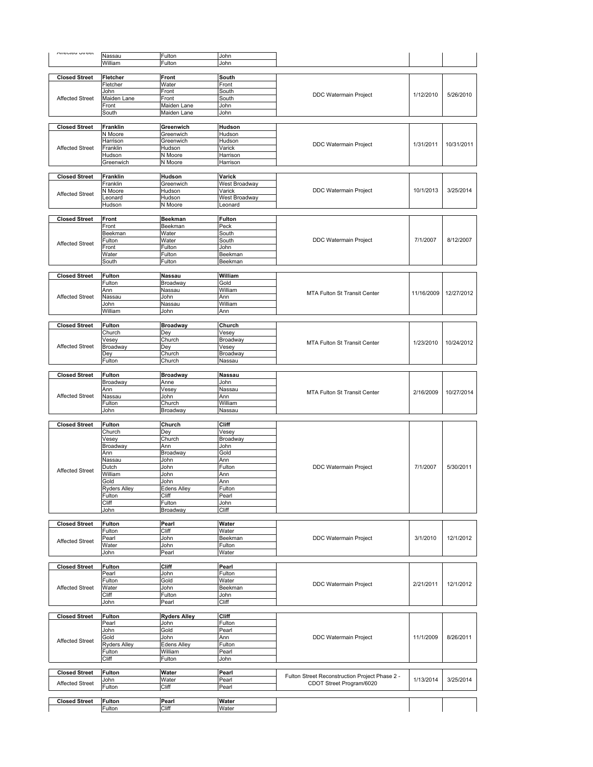| <b>Allented Officer</b> | Nassau                  | Fulton              | John                 |                                                |            |            |
|-------------------------|-------------------------|---------------------|----------------------|------------------------------------------------|------------|------------|
|                         | William                 | Fulton              | John                 |                                                |            |            |
|                         |                         |                     |                      |                                                |            |            |
| <b>Closed Street</b>    | Fletcher                | <b>Front</b>        | South                |                                                |            |            |
|                         | Fletcher                | Water               | Front                |                                                |            |            |
| <b>Affected Street</b>  | John<br>Maiden Lane     | Front<br>Front      | South<br>South       | DDC Watermain Project                          | 1/12/2010  | 5/26/2010  |
|                         | Front                   | Maiden Lane         | John                 |                                                |            |            |
|                         | South                   | Maiden Lane         | John                 |                                                |            |            |
|                         |                         |                     |                      |                                                |            |            |
| <b>Closed Street</b>    | Franklin                | Greenwich           | Hudson               |                                                |            |            |
|                         | N Moore                 | Greenwich           | Hudson               |                                                |            |            |
|                         | Harrison                | Greenwich           | Hudson               | <b>DDC Watermain Project</b>                   | 1/31/2011  | 10/31/2011 |
| <b>Affected Street</b>  | Franklin                | Hudson<br>N Moore   | Varick               |                                                |            |            |
|                         | Hudson<br>Greenwich     | N Moore             | Harrison<br>Harrison |                                                |            |            |
|                         |                         |                     |                      |                                                |            |            |
| <b>Closed Street</b>    | Franklin                | Hudson              | Varick               |                                                |            |            |
|                         | Franklin                | Greenwich           | West Broadway        |                                                |            |            |
| <b>Affected Street</b>  | N Moore                 | Hudson              | Varick               | DDC Watermain Project                          | 10/1/2013  | 3/25/2014  |
|                         | Leonard                 | Hudson              | West Broadway        |                                                |            |            |
|                         | Hudson                  | N Moore             | Leonard              |                                                |            |            |
| <b>Closed Street</b>    | Front                   | <b>Beekman</b>      | Fulton               |                                                |            |            |
|                         | Front                   | Beekman             | Peck                 |                                                |            |            |
|                         | Beekman                 | Water               | South                |                                                |            |            |
|                         | Fulton                  | Water               | South                | DDC Watermain Project                          | 7/1/2007   | 8/12/2007  |
| <b>Affected Street</b>  | Front                   | Fulton              | John                 |                                                |            |            |
|                         | Water                   | Fulton              | Beekman              |                                                |            |            |
|                         | South                   | Fulton              | Beekman              |                                                |            |            |
| <b>Closed Street</b>    | <b>Fulton</b>           |                     | William              |                                                |            |            |
|                         | Fulton                  | Nassau<br>Broadway  | Gold                 |                                                |            |            |
|                         | Ann                     | Nassau              | William              |                                                |            |            |
| <b>Affected Street</b>  | Nassau                  | John                | Ann                  | <b>MTA Fulton St Transit Center</b>            | 11/16/2009 | 12/27/2012 |
|                         | John                    | Nassau              | William              |                                                |            |            |
|                         | William                 | John                | Ann                  |                                                |            |            |
|                         |                         |                     |                      |                                                |            |            |
| <b>Closed Street</b>    | <b>Fulton</b>           | <b>Broadway</b>     | Church               |                                                |            |            |
|                         | Church<br>Vesey         | Dey<br>Church       | Vesey                |                                                |            |            |
| <b>Affected Street</b>  | Broadway                | Dey                 | Broadway<br>Vesey    | MTA Fulton St Transit Center                   | 1/23/2010  | 10/24/2012 |
|                         | Dey                     | Church              | Broadway             |                                                |            |            |
|                         | Fulton                  | Church              | Nassau               |                                                |            |            |
|                         |                         |                     |                      |                                                |            |            |
| <b>Closed Street</b>    | <b>Fulton</b>           | <b>Broadway</b>     | Nassau               |                                                |            |            |
|                         | Broadway                | Anne                | John                 |                                                |            |            |
|                         | Ann                     | Vesey               | Nassau               | MTA Fulton St Transit Center                   | 2/16/2009  | 10/27/2014 |
| <b>Affected Street</b>  | Nassau                  | John                | Ann                  |                                                |            |            |
|                         | Fulton<br>John          | Church<br>Broadway  | William<br>Nassau    |                                                |            |            |
|                         |                         |                     |                      |                                                |            |            |
| <b>Closed Street</b>    | <b>Fulton</b>           | Church              | Cliff                |                                                |            |            |
|                         | Church                  | Dey                 | Vesey                |                                                |            |            |
|                         | Vesey                   | Church              | Broadway             |                                                |            |            |
|                         | Broadway                | Ann                 | John                 |                                                |            |            |
|                         | Ann                     | Broadway            | Gold                 |                                                |            |            |
|                         | Nassau<br>Dutch         | John<br>John        | Ann<br>Fulton        | <b>DDC Watermain Project</b>                   | 7/1/2007   | 5/30/2011  |
| <b>Affected Street</b>  | William                 | John                | Ann                  |                                                |            |            |
|                         | Gold                    | John                | Ann                  |                                                |            |            |
|                         | <b>Ryders Alley</b>     | <b>Edens Alley</b>  | Fulton               |                                                |            |            |
|                         | Fulton                  | Cliff               | Pearl                |                                                |            |            |
|                         | Cliff                   | Fulton              | John                 |                                                |            |            |
|                         | John                    | Broadway            | Cliff                |                                                |            |            |
| <b>Closed Street</b>    | <b>Fulton</b>           | Pearl               | Water                |                                                |            |            |
|                         | Fulton                  | Cliff               | Water                |                                                |            |            |
|                         | Pearl                   | John                | Beekman              | DDC Watermain Project                          | 3/1/2010   | 12/1/2012  |
| <b>Affected Street</b>  | Water                   | John                | Fulton               |                                                |            |            |
|                         | John                    | Pearl               | Water                |                                                |            |            |
|                         |                         |                     |                      |                                                |            |            |
| <b>Closed Street</b>    |                         |                     |                      |                                                |            |            |
|                         | <b>Fulton</b>           | Cliff               | Pearl                |                                                |            |            |
|                         | Pearl                   | John                | Fulton               |                                                |            |            |
|                         | Fulton                  | Gold                | Water                | DDC Watermain Project                          | 2/21/2011  | 12/1/2012  |
| <b>Affected Street</b>  | Water                   | John                | Beekman              |                                                |            |            |
|                         | Cliff<br>John           | Fulton<br>Pearl     | John<br>Cliff        |                                                |            |            |
|                         |                         |                     |                      |                                                |            |            |
| <b>Closed Street</b>    | Fulton                  | <b>Ryders Alley</b> | Cliff                |                                                |            |            |
|                         | Pearl                   | John                | Fulton               |                                                |            |            |
|                         | John                    | Gold                | Pearl                |                                                |            |            |
| <b>Affected Street</b>  | Gold                    | John                | Ann                  | DDC Watermain Project                          | 11/1/2009  | 8/26/2011  |
|                         | <b>Ryders Alley</b>     | Edens Alley         | Fulton               |                                                |            |            |
|                         | Fulton                  | William             | Pearl                |                                                |            |            |
|                         | Cliff                   | Fulton              | John                 |                                                |            |            |
|                         |                         |                     |                      |                                                |            |            |
| <b>Closed Street</b>    | <b>Fulton</b><br>John   | Water<br>Water      | Pearl<br>Pearl       | Fulton Street Reconstruction Project Phase 2 - | 1/13/2014  | 3/25/2014  |
| <b>Affected Street</b>  | Fulton                  | Cliff               | Pearl                | CDOT Street Program/6020                       |            |            |
|                         |                         |                     |                      |                                                |            |            |
| <b>Closed Street</b>    | <b>Fulton</b><br>Fulton | Pearl<br>Cliff      | Water<br>Water       |                                                |            |            |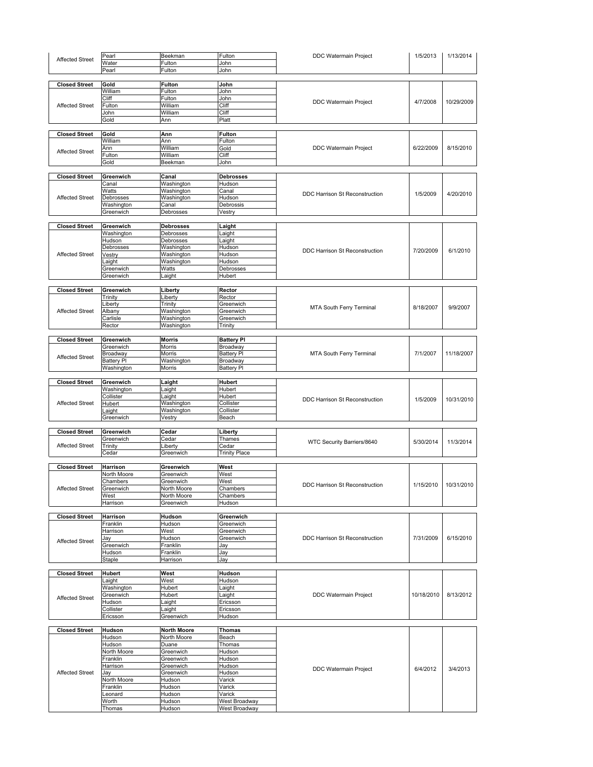|                        | Pearl           | Beekman            | Fulton                         | <b>DDC Watermain Project</b>          | 1/5/2013   |            |
|------------------------|-----------------|--------------------|--------------------------------|---------------------------------------|------------|------------|
| <b>Affected Street</b> | Water           |                    |                                |                                       |            | 1/13/2014  |
|                        |                 | Fulton             | John                           |                                       |            |            |
|                        | Pearl           | Fulton             | John                           |                                       |            |            |
|                        |                 |                    |                                |                                       |            |            |
| <b>Closed Street</b>   | Gold            | Fulton             | John                           |                                       |            |            |
|                        | William         | Fulton             | John                           |                                       |            |            |
|                        | Cliff           | Fulton             | John                           | DDC Watermain Project                 | 4/7/2008   | 10/29/2009 |
| <b>Affected Street</b> | Fulton          | William            | Cliff                          |                                       |            |            |
|                        | John            | William            | Cliff                          |                                       |            |            |
|                        | Gold            | Ann                | Platt                          |                                       |            |            |
|                        |                 |                    |                                |                                       |            |            |
| <b>Closed Street</b>   | Gold            | Ann                | Fulton                         |                                       |            |            |
|                        | William         | Ann                | Fulton                         |                                       |            |            |
|                        |                 |                    |                                | <b>DDC Watermain Project</b>          | 6/22/2009  | 8/15/2010  |
| <b>Affected Street</b> | Ann             | William            | Gold                           |                                       |            |            |
|                        | Fulton          | William            | Cliff                          |                                       |            |            |
|                        | Gold            | Beekman            | John                           |                                       |            |            |
|                        |                 |                    |                                |                                       |            |            |
| <b>Closed Street</b>   | Greenwich       | Canal              | Debrosses                      |                                       |            |            |
|                        | Canal           | Washington         | Hudson                         |                                       |            |            |
|                        | Watts           | Washington         | Canal                          | DDC Harrison St Reconstruction        | 1/5/2009   | 4/20/2010  |
| <b>Affected Street</b> | Debrosses       | Washington         | Hudson                         |                                       |            |            |
|                        | Washington      | Canal              | Debrossis                      |                                       |            |            |
|                        | Greenwich       | Debrosses          | Vestry                         |                                       |            |            |
|                        |                 |                    |                                |                                       |            |            |
| <b>Closed Street</b>   | Greenwich       | <b>Debrosses</b>   | Laight                         |                                       |            |            |
|                        | Washington      | Debrosses          | Laight                         |                                       |            |            |
|                        | Hudson          | Debrosses          | Laight                         |                                       |            |            |
|                        | Debrosses       | Washington         | Hudson                         |                                       |            |            |
|                        |                 |                    |                                | <b>DDC Harrison St Reconstruction</b> | 7/20/2009  | 6/1/2010   |
| <b>Affected Street</b> | Vestry          | Washington         | Hudson                         |                                       |            |            |
|                        | Laight          | Washington         | Hudson                         |                                       |            |            |
|                        | Greenwich       | Watts              | Debrosses                      |                                       |            |            |
|                        | Greenwich       | Laight             | Hubert                         |                                       |            |            |
|                        |                 |                    |                                |                                       |            |            |
| <b>Closed Street</b>   | Greenwich       | Liberty            | Rector                         |                                       |            |            |
|                        | Trinity         | Liberty            | Rector                         |                                       |            |            |
|                        | Liberty         | Trinity            | Greenwich                      |                                       |            |            |
| <b>Affected Street</b> | Albany          | Washington         | Greenwich                      | MTA South Ferry Terminal              | 8/18/2007  | 9/9/2007   |
|                        | Carlisle        | Washington         | Greenwich                      |                                       |            |            |
|                        | Rector          | Washington         | Trinity                        |                                       |            |            |
|                        |                 |                    |                                |                                       |            |            |
| <b>Closed Street</b>   | Greenwich       | <b>Morris</b>      |                                |                                       |            |            |
|                        |                 |                    | <b>Battery PI</b>              |                                       |            |            |
|                        | Greenwich       | Morris             | Broadway                       |                                       |            |            |
| <b>Affected Street</b> | Broadway        | Morris             | <b>Battery PI</b>              | MTA South Ferry Terminal              | 7/1/2007   | 11/18/2007 |
|                        | Battery Pl      | Washington         | Broadway                       |                                       |            |            |
|                        | Washington      | Morris             | <b>Battery PI</b>              |                                       |            |            |
|                        |                 |                    |                                |                                       |            |            |
| <b>Closed Street</b>   | Greenwich       | Laight             | Hubert                         |                                       |            |            |
|                        | Washington      | Laight             | Hubert                         |                                       |            |            |
|                        | Collister       | Laight             | Hubert                         | DDC Harrison St Reconstruction        | 1/5/2009   | 10/31/2010 |
| <b>Affected Street</b> | Hubert          | Washington         | Collister                      |                                       |            |            |
|                        | Laight          | Washington         | Collister                      |                                       |            |            |
|                        | Greenwich       | Vestry             | Beach                          |                                       |            |            |
|                        |                 |                    |                                |                                       |            |            |
| <b>Closed Street</b>   | Greenwich       | Cedar              |                                |                                       |            |            |
|                        |                 |                    | Liberty                        |                                       |            |            |
|                        | Greenwich       | Cedar              | Thames                         | WTC Security Barriers/8640            | 5/30/2014  | 11/3/2014  |
| <b>Affected Street</b> | Trinity         | Liberty            | Cedar                          |                                       |            |            |
|                        | Cedar           | Greenwich          | <b>Trinity Place</b>           |                                       |            |            |
|                        |                 |                    |                                |                                       |            |            |
|                        |                 |                    |                                |                                       |            |            |
| <b>Closed Street</b>   | Harrison        | Greenwich          | West                           |                                       |            |            |
|                        | North Moore     | Greenwich          | West                           |                                       |            |            |
|                        | Chambers        | Greenwich          | West                           |                                       |            |            |
| <b>Affected Street</b> | Greenwich       | North Moore        | Chambers                       | DDC Harrison St Reconstruction        | 1/15/2010  | 10/31/2010 |
|                        | West            | North Moore        | Chambers                       |                                       |            |            |
|                        | Harrison        | Greenwich          | Hudson                         |                                       |            |            |
|                        |                 |                    |                                |                                       |            |            |
|                        |                 |                    |                                |                                       |            |            |
| <b>Closed Street</b>   | Harrison        | Hudson             | Greenwich                      |                                       |            |            |
|                        | Franklin        | Hudson             | Greenwich                      |                                       |            |            |
|                        | Harrison        | West               | Greenwich                      |                                       |            |            |
| <b>Affected Street</b> | Jay             | Hudson             | Greenwich                      | DDC Harrison St Reconstruction        | 7/31/2009  | 6/15/2010  |
|                        | Greenwich       | Franklin           | Jay                            |                                       |            |            |
|                        | Hudson          | Franklin           | Jay                            |                                       |            |            |
|                        | Staple          | Harrison           | Jay                            |                                       |            |            |
|                        |                 |                    |                                |                                       |            |            |
| <b>Closed Street</b>   | Hubert          | West               | Hudson                         |                                       |            |            |
|                        | Laight          | West               | Hudson                         |                                       |            |            |
|                        | Washington      | Hubert             | Laight                         |                                       |            |            |
|                        | Greenwich       | Hubert             | Laight                         | DDC Watermain Project                 | 10/18/2010 | 8/13/2012  |
| <b>Affected Street</b> |                 |                    | Ericsson                       |                                       |            |            |
|                        | Hudson          | Laight             |                                |                                       |            |            |
|                        | Collister       | Laight             | Ericsson                       |                                       |            |            |
|                        | Ericsson        | Greenwich          | Hudson                         |                                       |            |            |
|                        |                 |                    |                                |                                       |            |            |
| <b>Closed Street</b>   | Hudson          | <b>North Moore</b> | Thomas                         |                                       |            |            |
|                        | Hudson          | North Moore        | Beach                          |                                       |            |            |
|                        | Hudson          | Duane              | Thomas                         |                                       |            |            |
|                        | North Moore     | Greenwich          | Hudson                         |                                       |            |            |
|                        | Franklin        | Greenwich          | Hudson                         |                                       |            |            |
|                        |                 |                    |                                |                                       |            |            |
| <b>Affected Street</b> | Harrison        | Greenwich          | Hudson                         | DDC Watermain Project                 | 6/4/2012   | 3/4/2013   |
|                        | Jay             | Greenwich          | Hudson                         |                                       |            |            |
|                        | North Moore     | Hudson             | Varick                         |                                       |            |            |
|                        | Franklin        | Hudson             | Varick                         |                                       |            |            |
|                        | .eonard         | Hudson             | Varick                         |                                       |            |            |
|                        | Worth<br>Thomas | Hudson<br>Hudson   | West Broadway<br>West Broadway |                                       |            |            |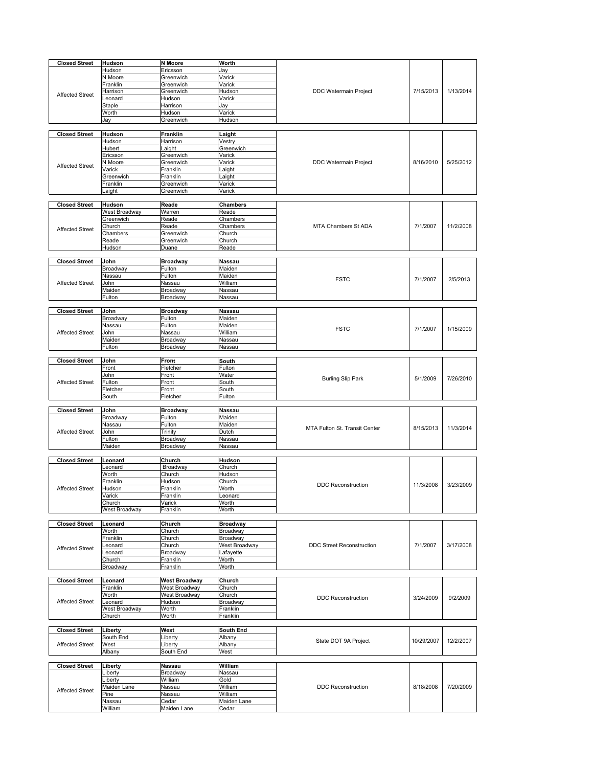| <b>Closed Street</b>   | Hudson                     | N Moore              | Worth                |                                  |            |           |
|------------------------|----------------------------|----------------------|----------------------|----------------------------------|------------|-----------|
|                        | Hudson                     | Ericsson             | Jay                  |                                  |            |           |
|                        | N Moore                    | Greenwich            |                      |                                  |            |           |
|                        |                            |                      | Varick<br>Varick     |                                  |            |           |
|                        | Franklin                   | Greenwich            |                      |                                  |            | 1/13/2014 |
| <b>Affected Street</b> | Harrison                   | Greenwich            | Hudson               | <b>DDC Watermain Project</b>     | 7/15/2013  |           |
|                        | Leonard                    | Hudson               | Varick               |                                  |            |           |
|                        | Staple                     | Harrison             | Jay                  |                                  |            |           |
|                        | Worth                      | Hudson               | Varick               |                                  |            |           |
|                        | Jay                        | Greenwich            | Hudson               |                                  |            |           |
|                        |                            |                      |                      |                                  |            |           |
| <b>Closed Street</b>   | <b>Hudson</b>              | Franklin             | Laight               |                                  |            |           |
|                        | Hudson                     | Harrison             | Vestry               |                                  |            |           |
|                        | Hubert                     | Laight               | Greenwich            |                                  |            |           |
|                        | Ericsson                   | Greenwich            | Varick               |                                  |            |           |
| <b>Affected Street</b> | N Moore                    | Greenwich            | Varick               | DDC Watermain Project            | 8/16/2010  | 5/25/2012 |
|                        | Varick                     | Franklin             | Laight               |                                  |            |           |
|                        | Greenwich                  | Franklin             | Laight               |                                  |            |           |
|                        | Franklin                   | Greenwich            | Varick               |                                  |            |           |
|                        | aight.                     | Greenwich            | Varick               |                                  |            |           |
| <b>Closed Street</b>   |                            | Reade                |                      |                                  |            |           |
|                        | Hudson                     |                      | Chambers<br>Reade    |                                  |            |           |
|                        | West Broadway<br>Greenwich | Warren<br>Reade      |                      |                                  |            |           |
|                        | Church                     |                      | Chambers             | <b>MTA Chambers St ADA</b>       | 7/1/2007   | 11/2/2008 |
| <b>Affected Street</b> | Chambers                   | Reade                | Chambers<br>Church   |                                  |            |           |
|                        |                            | Greenwich            |                      |                                  |            |           |
|                        | Reade<br>Hudson            | Greenwich<br>Duane   | Church<br>Reade      |                                  |            |           |
|                        |                            |                      |                      |                                  |            |           |
| <b>Closed Street</b>   | John                       | <b>Broadway</b>      | Nassau               |                                  |            |           |
|                        | Broadway                   | Fulton               | Maiden               |                                  |            |           |
|                        | Nassau                     | Fulton               | Maiden               |                                  |            |           |
| <b>Affected Street</b> | John                       | Nassau               | William              | <b>FSTC</b>                      | 7/1/2007   | 2/5/2013  |
|                        | Maiden                     | Broadway             | Nassau               |                                  |            |           |
|                        | Fulton                     | Broadway             | Nassau               |                                  |            |           |
|                        |                            |                      |                      |                                  |            |           |
| <b>Closed Street</b>   | John                       | <b>Broadway</b>      | Nassau               |                                  |            |           |
|                        | Broadway                   | Fulton               | Maiden               |                                  |            |           |
|                        | Nassau                     | Fulton               | Maiden               | <b>FSTC</b>                      | 7/1/2007   | 1/15/2009 |
| <b>Affected Street</b> | John                       | Nassau               | William              |                                  |            |           |
|                        | Maiden                     | Broadway             | Nassau               |                                  |            |           |
|                        | Fulton                     | Broadway             | Nassau               |                                  |            |           |
|                        |                            |                      |                      |                                  |            |           |
| <b>Closed Street</b>   | John                       | <b>Front</b>         | South                |                                  |            |           |
|                        | Front                      | Fletcher             | Fulton               |                                  |            |           |
|                        | John                       | Front                | Water                | <b>Burling Slip Park</b>         | 5/1/2009   | 7/26/2010 |
| <b>Affected Street</b> | Fulton                     | Front                | South                |                                  |            |           |
|                        | Fletcher                   | Front                | South                |                                  |            |           |
|                        | South                      | Fletcher             | Fulton               |                                  |            |           |
|                        |                            |                      |                      |                                  |            |           |
| <b>Closed Street</b>   | John                       | <b>Broadway</b>      | <b>Nassau</b>        |                                  |            |           |
|                        | Broadway                   | Fulton               | Maiden               |                                  |            |           |
|                        | Nassau                     | Fulton               | Maiden               | MTA Fulton St. Transit Center    | 8/15/2013  | 11/3/2014 |
| <b>Affected Street</b> | John                       | Trinity              | Dutch                |                                  |            |           |
|                        | Fulton<br>Maiden           | Broadway<br>Broadway | Nassau<br>Nassau     |                                  |            |           |
|                        |                            |                      |                      |                                  |            |           |
| <b>Closed Street</b>   | Leonard                    | Church               | Hudson               |                                  |            |           |
|                        | Leonard                    |                      |                      |                                  |            |           |
|                        |                            |                      |                      |                                  |            |           |
|                        |                            | Broadway             | Church               |                                  |            |           |
|                        | Worth                      | Church               | Hudson               |                                  |            |           |
| <b>Affected Street</b> | Franklin                   | Hudson               | Church               | <b>DDC Reconstruction</b>        | 11/3/2008  | 3/23/2009 |
|                        | Hudson<br>Varick           | Franklin<br>Franklin | Worth<br>Leonard     |                                  |            |           |
|                        | Church                     | Varick               | Worth                |                                  |            |           |
|                        | West Broadway              | Franklin             | Worth                |                                  |            |           |
|                        |                            |                      |                      |                                  |            |           |
| <b>Closed Street</b>   | Leonard                    | Church               | <b>Broadway</b>      |                                  |            |           |
|                        | Worth                      | Church               | Broadway             |                                  |            |           |
|                        | Franklin                   | Church               | Broadway             |                                  |            |           |
| <b>Affected Street</b> | _eonard                    | Church               | West Broadway        | <b>DDC Street Reconstruction</b> | 7/1/2007   | 3/17/2008 |
|                        | _eonard                    | Broadway             | Lafayette            |                                  |            |           |
|                        | Church                     | Franklin             | Worth                |                                  |            |           |
|                        | Broadway                   | Franklin             | Worth                |                                  |            |           |
|                        |                            |                      |                      |                                  |            |           |
| <b>Closed Street</b>   | Leonard                    | <b>West Broadway</b> | Church               |                                  |            |           |
|                        | Franklin                   | West Broadway        | Church               |                                  |            |           |
|                        | Worth<br>Leonard           | West Broadway        | Church               | <b>DDC Reconstruction</b>        | 3/24/2009  | 9/2/2009  |
| <b>Affected Street</b> |                            | Hudson               | Broadway             |                                  |            |           |
|                        | West Broadway<br>Church    | Worth<br>Worth       | Franklin<br>Franklin |                                  |            |           |
|                        |                            |                      |                      |                                  |            |           |
| <b>Closed Street</b>   | Liberty                    | West                 | South End            |                                  |            |           |
|                        | South End                  | Liberty              | Albany               |                                  |            |           |
| <b>Affected Street</b> | West                       | Liberty              | Albany               | State DOT 9A Project             | 10/29/2007 | 12/2/2007 |
|                        | Albany                     | South End            | West                 |                                  |            |           |
|                        |                            |                      |                      |                                  |            |           |
| <b>Closed Street</b>   | Liberty                    | Nassau               | William              |                                  |            |           |
|                        | ∟iberty                    | Broadway             | Nassau               |                                  |            |           |
|                        | Liberty                    | William              | Gold                 |                                  |            |           |
| <b>Affected Street</b> | Maiden Lane                | Nassau               | William              | <b>DDC Reconstruction</b>        | 8/18/2008  | 7/20/2009 |
|                        | Pine                       | Nassau               | William              |                                  |            |           |
|                        | Nassau<br>William          | Cedar<br>Maiden Lane | Maiden Lane<br>Cedar |                                  |            |           |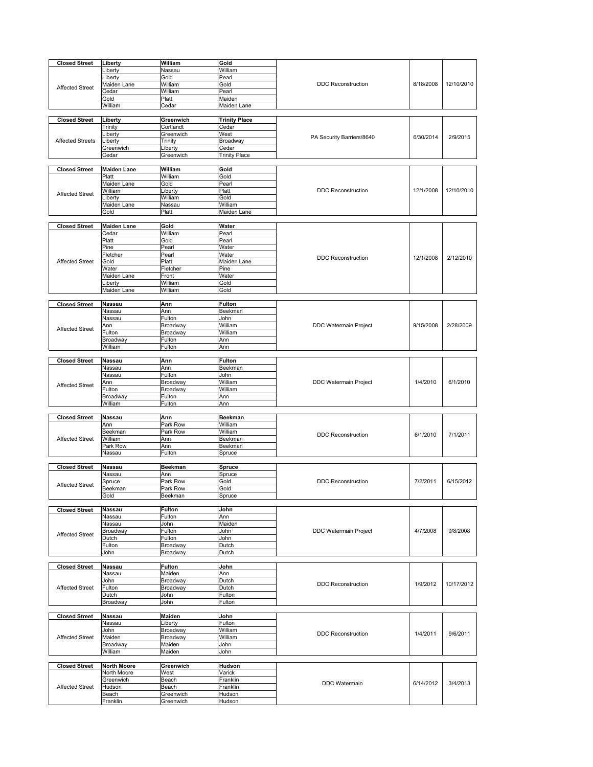| <b>Closed Street</b>    | Liberty            | William                | Gold                 |                           |           |            |
|-------------------------|--------------------|------------------------|----------------------|---------------------------|-----------|------------|
|                         | Liberty            | Nassau                 | William              |                           |           |            |
|                         |                    |                        |                      |                           |           |            |
|                         | ∟iberty            | Gold                   | Pearl                |                           |           |            |
| <b>Affected Street</b>  | Maiden Lane        | William                | Gold                 | <b>DDC</b> Reconstruction | 8/18/2008 | 12/10/2010 |
|                         | Cedar              | William                | Pearl                |                           |           |            |
|                         | Gold               | Platt                  | Maiden               |                           |           |            |
|                         | William            | Cedar                  | Maiden Lane          |                           |           |            |
|                         |                    |                        |                      |                           |           |            |
| <b>Closed Street</b>    | Liberty            | Greenwich              | <b>Trinity Place</b> |                           |           |            |
|                         | Trinity            | Cortlandt              | Cedar                |                           |           | 2/9/2015   |
|                         | Liberty            | Greenwich              | West                 | PA Security Barriers/8640 | 6/30/2014 |            |
| <b>Affected Streets</b> | ∟iberty            | Trinity                | Broadway             |                           |           |            |
|                         | Greenwich          | Liberty                | Cedar                |                           |           |            |
|                         | Cedar              | Greenwich              | <b>Trinity Place</b> |                           |           |            |
|                         |                    |                        |                      |                           |           |            |
| <b>Closed Street</b>    | <b>Maiden Lane</b> | William                | Gold                 |                           |           |            |
|                         | Platt              | William                | Gold                 |                           |           |            |
|                         | Maiden Lane        | Gold                   | Pearl                |                           |           |            |
| <b>Affected Street</b>  | William            | Liberty                | Platt                | <b>DDC Reconstruction</b> | 12/1/2008 | 12/10/2010 |
|                         | Liberty            | William                | Gold                 |                           |           |            |
|                         | Maiden Lane        | Nassau                 | William              |                           |           |            |
|                         | Gold               | Platt                  | Maiden Lane          |                           |           |            |
|                         |                    |                        |                      |                           |           |            |
| <b>Closed Street</b>    | <b>Maiden Lane</b> | Gold                   | Water                |                           |           |            |
|                         | Cedar              | William                | Pearl                |                           |           |            |
|                         | Platt              | Gold                   | Pearl                |                           |           |            |
|                         | Pine               | Pearl                  | Water                |                           |           |            |
|                         | Fletcher           | Pearl                  | Water                |                           |           |            |
| <b>Affected Street</b>  | Gold               | Platt                  | Maiden Lane          | <b>DDC Reconstruction</b> | 12/1/2008 | 2/12/2010  |
|                         | Water              | Fletcher               | Pine                 |                           |           |            |
|                         | Maiden Lane        | Front                  | Water                |                           |           |            |
|                         | Liberty            | William                | Gold                 |                           |           |            |
|                         | Maiden Lane        | William                | Gold                 |                           |           |            |
|                         |                    |                        |                      |                           |           |            |
| <b>Closed Street</b>    | Nassau             | Ann                    | <b>Fulton</b>        |                           |           |            |
|                         | Nassau             | Ann                    | Beekman              |                           |           |            |
|                         | Nassau             | Fulton                 | John                 |                           |           |            |
| <b>Affected Street</b>  | Ann                | Broadway               | William              | DDC Watermain Project     | 9/15/2008 | 2/28/2009  |
|                         | Fulton             | Broadway               | William              |                           |           |            |
|                         | Broadway           | Fulton                 | Ann                  |                           |           |            |
|                         | William            | Fulton                 | Ann                  |                           |           |            |
|                         |                    |                        |                      |                           |           |            |
| <b>Closed Street</b>    | Nassau             | Ann                    | <b>Fulton</b>        |                           |           |            |
|                         | Nassau             | Ann                    | Beekman              |                           |           |            |
|                         | Nassau             | Fulton                 | John                 |                           |           |            |
| <b>Affected Street</b>  | Ann                | Broadway               | William              | DDC Watermain Project     | 1/4/2010  | 6/1/2010   |
|                         | Fulton             | Broadway               | William              |                           |           |            |
|                         | Broadway           | Fulton                 | Ann                  |                           |           |            |
|                         | William            | Fulton                 | Ann                  |                           |           |            |
| <b>Closed Street</b>    | Nassau             | Ann                    | <b>Beekman</b>       |                           |           |            |
|                         | Ann                | Park Row               | William              |                           |           |            |
|                         |                    | Park Row               | William              |                           |           |            |
|                         |                    |                        |                      |                           |           |            |
|                         | Beekman            |                        |                      | <b>DDC Reconstruction</b> | 6/1/2010  | 7/1/2011   |
| <b>Affected Street</b>  | William            | Ann                    | Beekman              |                           |           |            |
|                         | Park Row           | Ann                    | Beekman              |                           |           |            |
|                         | Nassau             | Fulton                 | Spruce               |                           |           |            |
|                         |                    |                        |                      |                           |           |            |
| <b>Closed Street</b>    | <b>Nassau</b>      | <b>Beekman</b>         | Spruce               |                           |           |            |
|                         | Nassau             | Ann                    | Spruce               |                           |           |            |
| <b>Affected Street</b>  | Spruce             | Park Row               | Gold                 | <b>DDC Reconstruction</b> | 7/2/2011  | 6/15/2012  |
|                         | Beekman            | Park Row               | Gold                 |                           |           |            |
|                         | Gold               | Beekman                | Spruce               |                           |           |            |
| <b>Closed Street</b>    | <b>Nassau</b>      | <b>Fulton</b>          | John                 |                           |           |            |
|                         | Nassau             | Fulton                 | Ann                  |                           |           |            |
|                         | Nassau             | John                   | Maiden               |                           |           |            |
|                         | Broadway           | Fulton                 | John                 | DDC Watermain Project     | 4/7/2008  | 9/8/2008   |
| <b>Affected Street</b>  | Dutch              | Fulton                 | John                 |                           |           |            |
|                         | Fulton             | Broadway               | Dutch                |                           |           |            |
|                         | John               | <b>Broadway</b>        | Dutch                |                           |           |            |
|                         |                    |                        |                      |                           |           |            |
| <b>Closed Street</b>    | <b>Nassau</b>      | <b>Fulton</b>          | John                 |                           |           |            |
|                         | Nassau             | Maiden                 | Ann                  |                           |           |            |
|                         | John               | Broadway               | Dutch                | <b>DDC Reconstruction</b> | 1/9/2012  | 10/17/2012 |
| <b>Affected Street</b>  | Fulton             | Broadway               | Dutch                |                           |           |            |
|                         | Dutch              | John                   | Fulton               |                           |           |            |
|                         | Broadway           | John                   | Fulton               |                           |           |            |
|                         |                    |                        |                      |                           |           |            |
| <b>Closed Street</b>    | <b>Nassau</b>      | <b>Maiden</b>          | John                 |                           |           |            |
|                         | Nassau<br>John     | Liberty                | Fulton<br>William    |                           |           |            |
| <b>Affected Street</b>  | Maiden             | Broadway<br>Broadway   | William              | <b>DDC Reconstruction</b> | 1/4/2011  | 9/6/2011   |
|                         | Broadway           | Maiden                 | John                 |                           |           |            |
|                         | William            |                        | John                 |                           |           |            |
|                         |                    | Maiden                 |                      |                           |           |            |
| <b>Closed Street</b>    | <b>North Moore</b> | Greenwich              | Hudson               |                           |           |            |
|                         | North Moore        | West                   | Varick               |                           |           |            |
|                         | Greenwich          | Beach                  | Franklin             |                           |           |            |
| <b>Affected Street</b>  | Hudson             | Beach                  | Franklin             | <b>DDC</b> Watermain      | 6/14/2012 | 3/4/2013   |
|                         | Beach<br>Franklin  | Greenwich<br>Greenwich | Hudson               |                           |           |            |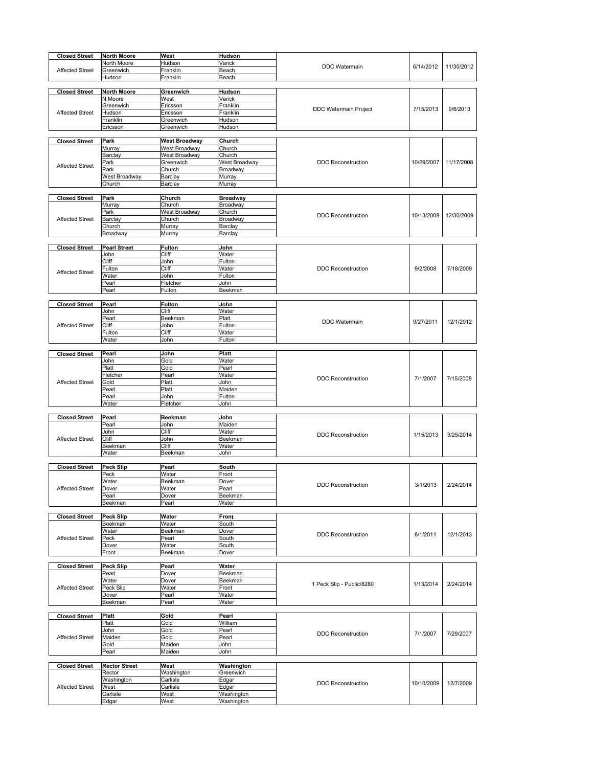| <b>Closed Street</b>   | <b>North Moore</b>   | West               | Hudson                   |                              |            |            |
|------------------------|----------------------|--------------------|--------------------------|------------------------------|------------|------------|
|                        | North Moore          | Hudson             | Varick                   |                              |            |            |
| <b>Affected Street</b> | Greenwich            | Franklin           | Beach                    | DDC Watermain                | 6/14/2012  | 11/30/2012 |
|                        | Hudson               | Franklin           | Beach                    |                              |            |            |
|                        |                      |                    |                          |                              |            |            |
| <b>Closed Street</b>   | <b>North Moore</b>   | Greenwich          | Hudson                   |                              |            |            |
|                        | N Moore              | West               | Varick                   |                              |            |            |
|                        | Greenwich            | Ericsson           | Franklin                 |                              |            |            |
| <b>Affected Street</b> | Hudson               | Ericsson           | Franklin                 | <b>DDC Watermain Project</b> | 7/15/2013  | 9/6/2013   |
|                        | Franklin             | Greenwich          | Hudson                   |                              |            |            |
|                        | Ericsson             | Greenwich          | Hudson                   |                              |            |            |
|                        |                      |                    |                          |                              |            |            |
| <b>Closed Street</b>   | Park                 | West Broadway      | Church                   |                              |            |            |
|                        | Murray               | West Broadway      | Church                   |                              |            |            |
|                        | Barclay              | West Broadway      | Church                   |                              |            |            |
| <b>Affected Street</b> | Park                 | Greenwich          | West Broadway            | <b>DDC Reconstruction</b>    | 10/29/2007 | 11/17/2008 |
|                        | Park                 | Church             | Broadway                 |                              |            |            |
|                        | West Broadway        | Barclay            | Murray                   |                              |            |            |
|                        | Church               | Barclay            | Murray                   |                              |            |            |
|                        |                      |                    |                          |                              |            |            |
| <b>Closed Street</b>   | Park                 | Church             | <b>Broadway</b>          |                              |            |            |
|                        | Murray               | Church             | Broadway                 |                              |            |            |
|                        | Park                 | West Broadway      | Church                   | <b>DDC Reconstruction</b>    | 10/13/2008 | 12/30/2009 |
| <b>Affected Street</b> | Barclay              | Church             | Broadway                 |                              |            |            |
|                        | Church               | Murray             | Barclay                  |                              |            |            |
|                        | Broadway             | Murray             | Barclay                  |                              |            |            |
|                        |                      |                    |                          |                              |            |            |
| <b>Closed Street</b>   | <b>Pearl Street</b>  | Fulton             | John                     |                              |            |            |
|                        | John                 | Cliff              | Water                    |                              |            |            |
|                        | Cliff                | John               | Fulton                   | <b>DDC Reconstruction</b>    | 9/2/2008   | 7/18/2009  |
| <b>Affected Street</b> | Fulton<br>Water      | Cliff<br>John      | Water<br>Fulton          |                              |            |            |
|                        |                      |                    |                          |                              |            |            |
|                        | Pearl<br>Pearl       | Fletcher<br>Fulton | John<br>Beekman          |                              |            |            |
|                        |                      |                    |                          |                              |            |            |
| <b>Closed Street</b>   | Pearl                | Fulton             | John                     |                              |            |            |
|                        | John                 | Cliff              | Water                    |                              |            |            |
|                        | Pearl                | Beekman            | Platt                    |                              |            |            |
| <b>Affected Street</b> | Cliff                | John               | Fulton                   | <b>DDC</b> Watermain         | 9/27/2011  | 12/1/2012  |
|                        | Fulton               | Cliff              | Water                    |                              |            |            |
|                        | Water                | John               | Fulton                   |                              |            |            |
|                        |                      |                    |                          |                              |            |            |
| <b>Closed Street</b>   | Pearl                | John               | Platt                    |                              |            |            |
|                        | John                 | Gold               | Water                    |                              |            |            |
|                        | Platt                | Gold               | Pearl                    |                              |            |            |
|                        | Fletcher             | Pearl              | Water                    |                              |            |            |
| <b>Affected Street</b> | Gold                 | Platt              | John                     | <b>DDC Reconstruction</b>    | 7/1/2007   | 7/15/2008  |
|                        | Pearl                | Platt              | Maiden                   |                              |            |            |
|                        | Pearl                | John               | Fulton                   |                              |            |            |
|                        | Water                | Fletcher           | John                     |                              |            |            |
|                        |                      |                    |                          |                              |            |            |
| <b>Closed Street</b>   | Pearl                | <b>Beekman</b>     | John                     |                              |            |            |
|                        | Pearl                | John               | Maiden                   |                              |            |            |
|                        | John                 | Cliff              | Water                    | <b>DDC</b> Reconstruction    | 1/15/2013  | 3/25/2014  |
| <b>Affected Street</b> | Cliff                | John               | Beekman                  |                              |            |            |
|                        | Beekman              | Cliff              | Water                    |                              |            |            |
|                        | Water                | Beekman            | John                     |                              |            |            |
|                        |                      |                    |                          |                              |            |            |
| <b>Closed Street</b>   | <b>Peck Slip</b>     | Pearl              | South                    |                              |            |            |
|                        | Peck                 | Water              | Front                    |                              |            |            |
| <b>Affected Street</b> | Water<br>Dover       | Beekman            | Dover<br>Pearl           | <b>DDC Reconstruction</b>    | 3/1/2013   | 2/24/2014  |
|                        | Pearl                | Water<br>Dover     |                          |                              |            |            |
|                        | Beekman              | Pearl              | Beekman<br>Water         |                              |            |            |
|                        |                      |                    |                          |                              |            |            |
| <b>Closed Street</b>   | <b>Peck Slip</b>     | Water              | Front                    |                              |            |            |
|                        | Beekman              | Water              | South                    |                              |            |            |
|                        | Water                | Beekman            | Dover                    |                              |            |            |
| <b>Affected Street</b> | Peck                 | Pearl              | South                    | <b>DDC</b> Reconstruction    | 8/1/2011   | 12/1/2013  |
|                        | Dover                | Water              | South                    |                              |            |            |
|                        | Front                | Beekman            | Dover                    |                              |            |            |
|                        |                      |                    |                          |                              |            |            |
| <b>Closed Street</b>   | <b>Peck Slip</b>     | Pearl              | Water                    |                              |            |            |
|                        | Pearl                | Dover              | Beekman                  |                              |            |            |
|                        | Water                | Dover              | Beekman                  | 1 Peck Slip - Public/8280    | 1/13/2014  | 2/24/2014  |
| <b>Affected Street</b> | Peck Slip            | Water              | Front                    |                              |            |            |
|                        | Dover                | Pearl              | Water                    |                              |            |            |
|                        | Beekman              | Pearl              | Water                    |                              |            |            |
|                        |                      |                    |                          |                              |            |            |
| <b>Closed Street</b>   | Platt                | Gold               | Pearl                    |                              |            |            |
|                        | Platt                | Gold               | William                  |                              |            |            |
|                        | John                 | Gold               | Pearl                    | <b>DDC Reconstruction</b>    | 7/1/2007   | 7/29/2007  |
| <b>Affected Street</b> | Maiden               | Gold               | Pearl                    |                              |            |            |
|                        | Gold                 | Maiden             | John                     |                              |            |            |
|                        | Pearl                | Maiden             | John                     |                              |            |            |
|                        |                      |                    |                          |                              |            |            |
| <b>Closed Street</b>   | <b>Rector Street</b> | West               | Washington               |                              |            |            |
|                        | Rector               | Washington         | Greenwich                |                              |            |            |
|                        | Washington           | Carlisle           | Edgar                    | <b>DDC Reconstruction</b>    | 10/10/2009 | 12/7/2009  |
| <b>Affected Street</b> | West                 | Carlisle           | Edgar                    |                              |            |            |
|                        | Carlisle             | West               | Washington<br>Washington |                              |            |            |
|                        | Edgar                | West               |                          |                              |            |            |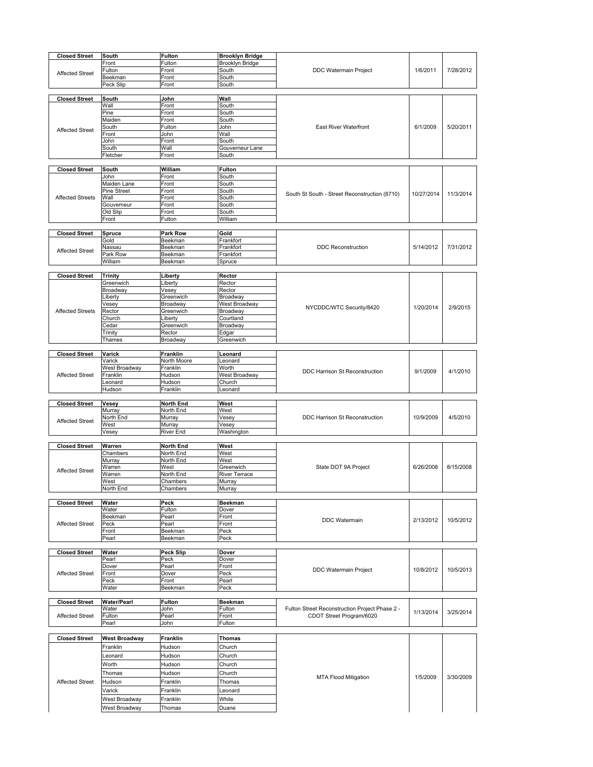| <b>Closed Street</b>    | South                          | <b>Fulton</b>    | <b>Brooklyn Bridge</b> |                                                |            |           |
|-------------------------|--------------------------------|------------------|------------------------|------------------------------------------------|------------|-----------|
|                         | Front                          | Fulton           | Brooklyn Bridge        |                                                |            |           |
|                         | Fulton                         | Front            | South                  | DDC Watermain Project                          | 1/6/2011   | 7/28/2012 |
| <b>Affected Street</b>  | Beekman                        | Front            | South                  |                                                |            |           |
|                         | Peck Slip                      | Front            | South                  |                                                |            |           |
|                         |                                |                  |                        |                                                |            |           |
| <b>Closed Street</b>    | South                          | John             | Wall                   |                                                |            |           |
|                         | Wall                           | Front            | South                  |                                                |            |           |
|                         | Pine                           | Front            | South                  |                                                |            |           |
|                         |                                | Front            |                        |                                                |            |           |
|                         | Maiden<br>South                | Fulton           | South<br>John          | <b>East River Waterfront</b>                   | 6/1/2009   | 5/20/2011 |
| <b>Affected Street</b>  |                                |                  |                        |                                                |            |           |
|                         | Front                          | John             | Wall                   |                                                |            |           |
|                         | John                           | Front            | South                  |                                                |            |           |
|                         | South                          | Wall             | Gouverneur Lane        |                                                |            |           |
|                         | Fletcher                       | Front            | South                  |                                                |            |           |
|                         |                                |                  |                        |                                                |            |           |
| <b>Closed Street</b>    | South                          | William          | Fulton                 |                                                |            |           |
|                         | John                           | Front            | South                  |                                                |            |           |
|                         | Maiden Lane                    | Front            | South                  |                                                |            |           |
|                         | <b>Pine Street</b>             | Front            | South                  | South St South - Street Reconstruction (8710)  | 10/27/2014 | 11/3/2014 |
| <b>Affected Streets</b> | Wall                           | Front            | South                  |                                                |            |           |
|                         | Gouverneur                     | Front            | South                  |                                                |            |           |
|                         | Old Slip                       | Front            | South                  |                                                |            |           |
|                         | Front                          | Fulton           | William                |                                                |            |           |
|                         |                                |                  |                        |                                                |            |           |
| <b>Closed Street</b>    | Spruce                         | Park Row         | Gold                   |                                                |            |           |
|                         | Gold                           | Beekman          | Frankfort              |                                                |            |           |
| <b>Affected Street</b>  | Nassau                         | Beekman          | Frankfort              | <b>DDC Reconstruction</b>                      | 5/14/2012  | 7/31/2012 |
|                         | Park Row                       | Beekman          | Frankfort              |                                                |            |           |
|                         | William                        | Beekman          | Spruce                 |                                                |            |           |
|                         |                                |                  |                        |                                                |            |           |
| <b>Closed Street</b>    | <b>Trinity</b>                 | Liberty          | Rector                 |                                                |            |           |
|                         | Greenwich                      | Liberty          | Rector                 |                                                |            |           |
|                         | Broadway                       | Vesey            | Rector                 |                                                |            |           |
|                         | Liberty                        | Greenwich        | Broadway               |                                                | 1/20/2014  |           |
|                         | Vesey                          | Broadway         | West Broadway          | NYCDDC/WTC Security/8420                       |            | 2/9/2015  |
| <b>Affected Streets</b> | Rector                         | Greenwich        | Broadway               |                                                |            |           |
|                         | Church                         | Liberty          | Courtland              |                                                |            |           |
|                         | Cedar                          | Greenwich        | Broadway               |                                                |            |           |
|                         | Trinity                        | Rector           | Edgar                  |                                                |            |           |
|                         | Thames                         | Broadway         | Greenwich              |                                                |            |           |
| <b>Closed Street</b>    | Varick                         | <b>Franklin</b>  | Leonard                |                                                |            |           |
|                         | Varick                         | North Moore      | Leonard                |                                                |            |           |
|                         | West Broadway                  | Franklin         | Worth                  |                                                |            |           |
| <b>Affected Street</b>  | Franklin                       | Hudson           | West Broadway          | DDC Harrison St Reconstruction                 | 9/1/2009   | 4/1/2010  |
|                         | _eonard                        | Hudson           | Church                 |                                                |            |           |
|                         | Hudson                         | Franklin         | Leonard                |                                                |            |           |
|                         |                                |                  |                        |                                                |            |           |
|                         |                                |                  |                        |                                                |            |           |
|                         |                                |                  |                        |                                                |            |           |
| <b>Closed Street</b>    | Vesey                          | <b>North End</b> | West                   |                                                |            |           |
|                         | Murray                         | North End        | West                   |                                                |            |           |
| <b>Affected Street</b>  | North End                      | Murray           | Vesey                  | <b>DDC Harrison St Reconstruction</b>          | 10/9/2009  | 4/5/2010  |
|                         | West                           | Murray           | Vesey                  |                                                |            |           |
|                         | Vesey                          | River End        | Washington             |                                                |            |           |
| <b>Closed Street</b>    | Warren                         |                  | West                   |                                                |            |           |
|                         |                                | <b>North End</b> |                        |                                                |            |           |
|                         | Chambers                       | North End        | West                   |                                                |            |           |
|                         | Murray                         | North End        | West                   |                                                | 6/26/2008  | 8/15/2008 |
| <b>Affected Street</b>  | Warren                         | West             | Greenwich              | State DOT 9A Project                           |            |           |
|                         | Warren                         | North End        | <b>River Terrace</b>   |                                                |            |           |
|                         | West                           | Chambers         | Murray                 |                                                |            |           |
|                         | North End                      | Chambers         | Murray                 |                                                |            |           |
| <b>Closed Street</b>    | Water                          | Peck             | <b>Beekman</b>         |                                                |            |           |
|                         | Water                          | Fulton           | Dover                  |                                                |            |           |
|                         | Beekman                        | Pearl            | Front                  |                                                |            |           |
| <b>Affected Street</b>  | Peck                           | Pearl            | Front                  | <b>DDC</b> Watermain                           | 2/13/2012  | 10/5/2012 |
|                         | Front                          | Beekman          | Peck                   |                                                |            |           |
|                         | Pearl                          | Beekman          | Peck                   |                                                |            |           |
|                         |                                |                  |                        |                                                |            |           |
| <b>Closed Street</b>    | Water                          | Peck Slip        | Dover                  |                                                |            |           |
|                         | Pearl                          | Peck             | Dover                  |                                                |            |           |
|                         | Dover                          | Pearl            | Front                  |                                                |            |           |
| <b>Affected Street</b>  | Front                          | Dover            | Peck                   | DDC Watermain Project                          | 10/8/2012  | 10/5/2013 |
|                         | Peck                           | Front            | Pearl                  |                                                |            |           |
|                         | Water                          | Beekman          | Peck                   |                                                |            |           |
|                         |                                |                  |                        |                                                |            |           |
| <b>Closed Street</b>    | <b>Water/Pearl</b>             | <b>Fulton</b>    | Beekman                |                                                |            |           |
|                         | Water                          | John             | Fulton                 | Fulton Street Reconstruction Project Phase 2 - |            |           |
| <b>Affected Street</b>  | Fulton                         | Pearl            | Front                  | CDOT Street Program/6020                       | 1/13/2014  | 3/25/2014 |
|                         | Pearl                          | John             | Fulton                 |                                                |            |           |
|                         |                                |                  |                        |                                                |            |           |
| <b>Closed Street</b>    | <b>West Broadway</b>           | Franklin         | <b>Thomas</b>          |                                                |            |           |
|                         | Franklin                       | Hudson           | Church                 |                                                |            |           |
|                         | Leonard                        | Hudson           | Church                 |                                                |            |           |
|                         |                                |                  |                        |                                                |            |           |
|                         | Worth                          | Hudson           | Church                 |                                                |            |           |
|                         | Thomas                         | Hudson           | Church                 | <b>MTA Flood Mitigation</b>                    | 1/5/2009   | 3/30/2009 |
| <b>Affected Street</b>  | Hudson                         | Franklin         | Thomas                 |                                                |            |           |
|                         | Varick                         | Franklin         | Leonard                |                                                |            |           |
|                         |                                | Franklin         | White                  |                                                |            |           |
|                         | West Broadway<br>West Broadway | Thomas           | Duane                  |                                                |            |           |